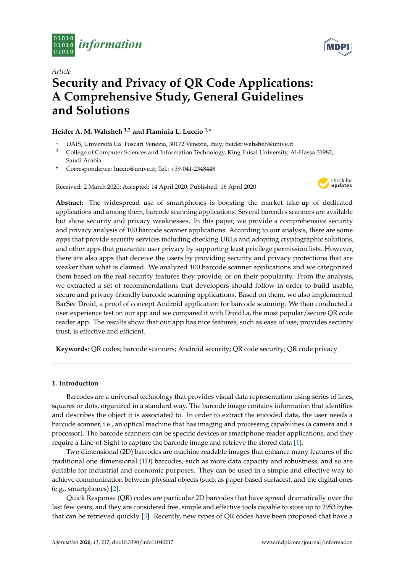



# *Article* **Security and Privacy of QR Code Applications: A Comprehensive Study, General Guidelines and Solutions**

## **Heider A. M. Wahsheh 1,2 and Flaminia L. Luccio 1,**<sup>∗</sup>

- <sup>1</sup> DAIS, Università Ca' Foscari Venezia, 30172 Venezia, Italy; heider.wahsheh@unive.it
- <sup>2</sup> College of Computer Sciences and Information Technology, King Faisal University, Al-Hassa 31982, Saudi Arabia
- **\*** Correspondence: luccio@unive.it; Tel.: +39-041-2348448

Received: 2 March 2020; Accepted: 14 April 2020; Published: 16 April 2020



**Abstract:** The widespread use of smartphones is boosting the market take-up of dedicated applications and among them, barcode scanning applications. Several barcodes scanners are available but show security and privacy weaknesses. In this paper, we provide a comprehensive security and privacy analysis of 100 barcode scanner applications. According to our analysis, there are some apps that provide security services including checking URLs and adopting cryptographic solutions, and other apps that guarantee user privacy by supporting least privilege permission lists. However, there are also apps that deceive the users by providing security and privacy protections that are weaker than what is claimed. We analyzed 100 barcode scanner applications and we categorized them based on the real security features they provide, or on their popularity. From the analysis, we extracted a set of recommendations that developers should follow in order to build usable, secure and privacy-friendly barcode scanning applications. Based on them, we also implemented BarSec Droid, a proof of concept Android application for barcode scanning. We then conducted a user experience test on our app and we compared it with DroidLa, the most popular/secure QR code reader app. The results show that our app has nice features, such as ease of use, provides security trust, is effective and efficient.

**Keywords:** QR codes; barcode scanners; Android security; QR code security; QR code privacy

## **1. Introduction**

Barcodes are a universal technology that provides visual data representation using series of lines, squares or dots, organized in a standard way. The barcode image contains information that identifies and describes the object it is associated to. In order to extract the encoded data, the user needs a barcode scanner, i.e., an optical machine that has imaging and processing capabilities (a camera and a processor). The barcode scanners can be specific devices or smartphone reader applications, and they require a Line-of-Sight to capture the barcode image and retrieve the stored data [\[1\]](#page-17-0).

Two dimensional (2D) barcodes are machine readable images that enhance many features of the traditional one dimensional (1D) barcodes, such as more data capacity and robustness, and so are suitable for industrial and economic purposes. They can be used in a simple and effective way to achieve communication between physical objects (such as paper-based surfaces), and the digital ones (e.g., smartphones) [\[2\]](#page-17-1).

Quick Response (QR) codes are particular 2D barcodes that have spread dramatically over the last few years, and they are considered free, simple and effective tools capable to store up to 2953 bytes that can be retrieved quickly [\[3\]](#page-17-2). Recently, new types of QR codes have been proposed that have a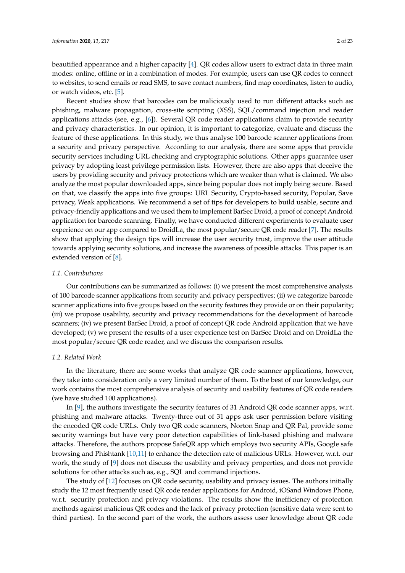beautified appearance and a higher capacity [\[4\]](#page-17-3). QR codes allow users to extract data in three main modes: online, offline or in a combination of modes. For example, users can use QR codes to connect to websites, to send emails or read SMS, to save contact numbers, find map coordinates, listen to audio, or watch videos, etc. [\[5\]](#page-17-4).

Recent studies show that barcodes can be maliciously used to run different attacks such as: phishing, malware propagation, cross-site scripting (XSS), SQL/command injection and reader applications attacks (see, e.g., [\[6\]](#page-17-5)). Several QR code reader applications claim to provide security and privacy characteristics. In our opinion, it is important to categorize, evaluate and discuss the feature of these applications. In this study, we thus analyse 100 barcode scanner applications from a security and privacy perspective. According to our analysis, there are some apps that provide security services including URL checking and cryptographic solutions. Other apps guarantee user privacy by adopting least privilege permission lists. However, there are also apps that deceive the users by providing security and privacy protections which are weaker than what is claimed. We also analyze the most popular downloaded apps, since being popular does not imply being secure. Based on that, we classify the apps into five groups: URL Security, Crypto-based security, Popular, Save privacy, Weak applications. We recommend a set of tips for developers to build usable, secure and privacy-friendly applications and we used them to implement BarSec Droid, a proof of concept Android application for barcode scanning. Finally, we have conducted different experiments to evaluate user experience on our app compared to DroidLa, the most popular/secure QR code reader [\[7\]](#page-17-6). The results show that applying the design tips will increase the user security trust, improve the user attitude towards applying security solutions, and increase the awareness of possible attacks. This paper is an extended version of [\[8\]](#page-18-0).

#### *1.1. Contributions*

Our contributions can be summarized as follows: (i) we present the most comprehensive analysis of 100 barcode scanner applications from security and privacy perspectives; (ii) we categorize barcode scanner applications into five groups based on the security features they provide or on their popularity; (iii) we propose usability, security and privacy recommendations for the development of barcode scanners; (iv) we present BarSec Droid, a proof of concept QR code Android application that we have developed; (v) we present the results of a user experience test on BarSec Droid and on DroidLa the most popular/secure QR code reader, and we discuss the comparison results.

#### *1.2. Related Work*

In the literature, there are some works that analyze QR code scanner applications, however, they take into consideration only a very limited number of them. To the best of our knowledge, our work contains the most comprehensive analysis of security and usability features of QR code readers (we have studied 100 applications).

In [\[9\]](#page-18-1), the authors investigate the security features of 31 Android QR code scanner apps, w.r.t. phishing and malware attacks. Twenty-three out of 31 apps ask user permission before visiting the encoded QR code URLs. Only two QR code scanners, Norton Snap and QR Pal, provide some security warnings but have very poor detection capabilities of link-based phishing and malware attacks. Therefore, the authors propose SafeQR app which employs two security APIs, Google safe browsing and Phishtank [\[10](#page-18-2)[,11\]](#page-18-3) to enhance the detection rate of malicious URLs. However, w.r.t. our work, the study of [\[9\]](#page-18-1) does not discuss the usability and privacy properties, and does not provide solutions for other attacks such as, e.g., SQL and command injections.

The study of [\[12\]](#page-18-4) focuses on QR code security, usability and privacy issues. The authors initially study the 12 most frequently used QR code reader applications for Android, iOSand Windows Phone, w.r.t. security protection and privacy violations. The results show the inefficiency of protection methods against malicious QR codes and the lack of privacy protection (sensitive data were sent to third parties). In the second part of the work, the authors assess user knowledge about QR code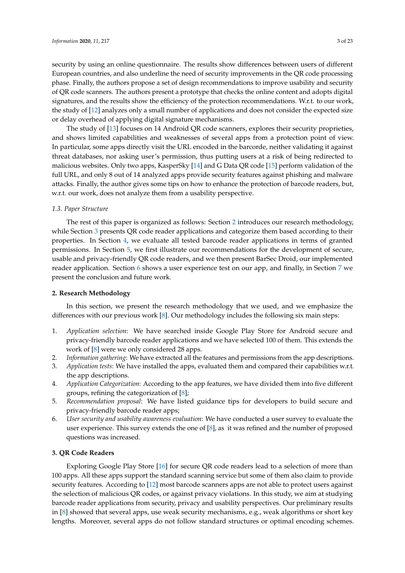security by using an online questionnaire. The results show differences between users of different European countries, and also underline the need of security improvements in the QR code processing phase. Finally, the authors propose a set of design recommendations to improve usability and security of QR code scanners. The authors present a prototype that checks the online content and adopts digital signatures, and the results show the efficiency of the protection recommendations. W.r.t. to our work, the study of [\[12\]](#page-18-4) analyzes only a small number of applications and does not consider the expected size or delay overhead of applying digital signature mechanisms.

The study of [\[13\]](#page-18-5) focuses on 14 Android QR code scanners, explores their security proprieties, and shows limited capabilities and weaknesses of several apps from a protection point of view. In particular, some apps directly visit the URL encoded in the barcorde, neither validating it against threat databases, nor asking user's permission, thus putting users at a risk of being redirected to malicious websites. Only two apps, KasperSky [\[14\]](#page-18-6) and G Data QR code [\[15\]](#page-18-7) perform validation of the full URL, and only 8 out of 14 analyzed apps provide security features against phishing and malware attacks. Finally, the author gives some tips on how to enhance the protection of barcode readers, but, w.r.t. our work, does not analyze them from a usability perspective.

#### *1.3. Paper Structure*

The rest of this paper is organized as follows: Section [2](#page-2-0) introduces our research methodology, while Section [3](#page-2-1) presents QR code reader applications and categorize them based according to their properties. In Section [4,](#page-11-0) we evaluate all tested barcode reader applications in terms of granted permissions. In Section [5,](#page-13-0) we first illustrate our recommendations for the development of secure, usable and privacy-friendly QR code readers, and we then present BarSec Droid, our implemented reader application. Section [6](#page-16-0) shows a user experience test on our app, and finally, in Section [7](#page-17-7) we present the conclusion and future work.

### <span id="page-2-0"></span>**2. Research Methodology**

In this section, we present the research methodology that we used, and we emphasize the differences with our previous work [\[8\]](#page-18-0). Our methodology includes the following six main steps:

- 1. *Application selection*: We have searched inside Google Play Store for Android secure and privacy-friendly barcode reader applications and we have selected 100 of them. This extends the work of [\[8\]](#page-18-0) were we only considered 28 apps.
- 2. *Information gathering*: We have extracted all the features and permissions from the app descriptions.
- 3. *Application tests*: We have installed the apps, evaluated them and compared their capabilities w.r.t. the app descriptions.
- 4. *Application Categorization*: According to the app features, we have divided them into five different groups, refining the categorization of [\[8\]](#page-18-0);
- 5. *Recommendation proposal*: We have listed guidance tips for developers to build secure and privacy-friendly barcode reader apps;
- 6. *User security and usability awareness evaluation*: We have conducted a user survey to evaluate the user experience. This survey extends the one of [\[8\]](#page-18-0), as it was refined and the number of proposed questions was increased.

## <span id="page-2-1"></span>**3. QR Code Readers**

Exploring Google Play Store [\[16\]](#page-18-8) for secure QR code readers lead to a selection of more than 100 apps. All these apps support the standard scanning service but some of them also claim to provide security features. According to [\[12\]](#page-18-4) most barcode scanners apps are not able to protect users against the selection of malicious QR codes, or against privacy violations. In this study, we aim at studying barcode reader applications from security, privacy and usability perspectives. Our preliminary results in [\[8\]](#page-18-0) showed that several apps, use weak security mechanisms, e.g., weak algorithms or short key lengths. Moreover, several apps do not follow standard structures or optimal encoding schemes.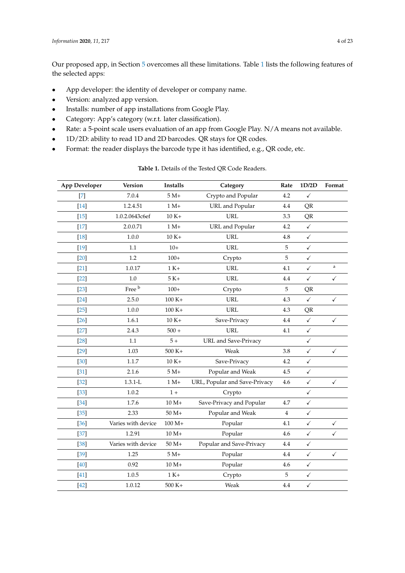Our proposed app, in Section [5](#page-13-0) overcomes all these limitations. Table [1](#page-5-0) lists the following features of the selected apps:

- App developer: the identity of developer or company name.
- Version: analyzed app version.
- Installs: number of app installations from Google Play.
- Category: App's category (w.r.t. later classification).
- Rate: a 5-point scale users evaluation of an app from Google Play. N/A means not available.
- 1D/2D: ability to read 1D and 2D barcodes. QR stays for QR codes.
- Format: the reader displays the barcode type it has identified, e.g., QR code, etc.

| <b>App Developer</b> | <b>Version</b>     | Installs        | Category                      | Rate           | 1D/2D        | Format       |
|----------------------|--------------------|-----------------|-------------------------------|----------------|--------------|--------------|
| $[7]$                | 7.0.4              | $5M+$           | Crypto and Popular            | 4.2            | $\checkmark$ |              |
| $[14]$               | 1.2.4.51           | $1 M+$          | URL and Popular               | 4.4            | QR           |              |
| $[15]$               | 1.0.2.0643c6ef     | $10 K+$         | <b>URL</b>                    | 3.3            | QR           |              |
| $[17]$               | 2.0.0.71           | $1 M+$          | URL and Popular               | 4.2            | $\checkmark$ |              |
| $[18]$               | 1.0.0              | $10 K+$         | <b>URL</b>                    | 4.8            | $\checkmark$ |              |
| $[19]$               | 1.1                | $10+$           | URL                           | 5              | $\checkmark$ |              |
| $[20]$               | 1.2                | $100+$          | Crypto                        | 5              | $\checkmark$ |              |
| $[21]$               | 1.0.17             | $1 K+$          | <b>URL</b>                    | 4.1            | $\checkmark$ | $\rm{a}$     |
| $[22]$               | 1.0                | $5K+$           | <b>URL</b>                    | 4.4            | $\checkmark$ | ✓            |
| $[23]$               | Free <sup>b</sup>  | $100+$          | Crypto                        | 5              | QR           |              |
| $[24]$               | 2.5.0              | $100K +$        | <b>URL</b>                    | 4.3            | $\checkmark$ | $\checkmark$ |
| $[25]$               | 1.0.0              | $100K +$        | <b>URL</b>                    | 4.3            | QR           |              |
| $[26]$               | 1.6.1              | $10 K+$         | Save-Privacy                  | 4.4            | $\checkmark$ | ✓            |
| $[27]$               | 2.4.3              | $500 +$         | URL                           | 4.1            | $\checkmark$ |              |
| $[28]$               | 1.1                | $5+$            | URL and Save-Privacy          |                | $\checkmark$ |              |
| $[29]$               | 1.03               | $500 K+$        | Weak                          | 3.8            | ✓            | $\checkmark$ |
| $[30]$               | 1.1.7              | $10 K+$         | Save-Privacy                  | 4.2            | ✓            |              |
| $[31]$               | 2.1.6              | $5M+$           | Popular and Weak              | 4.5            | $\checkmark$ |              |
| $[32]$               | $1.3.1 - L$        | $1 M+$          | URL, Popular and Save-Privacy | 4.6            | $\checkmark$ | $\checkmark$ |
| $[33]$               | 1.0.2              | $1 +$           | Crypto                        |                | $\checkmark$ |              |
| $[34]$               | 1.7.6              | $10 M+$         | Save-Privacy and Popular      | 4.7            | ✓            |              |
| $[35]$               | 2.33               | $50M+$          | Popular and Weak              | $\overline{4}$ | $\checkmark$ |              |
| $[36]$               | Varies with device | $100 M+$        | Popular                       | 4.1            | $\checkmark$ | $\checkmark$ |
| $[37]$               | 1.2.91             | $10 M+$         | Popular                       | 4.6            | $\checkmark$ | ✓            |
| $[38]$               | Varies with device | $50 M+$         | Popular and Save-Privacy      | 4.4            | $\checkmark$ |              |
| $[39]$               | 1.25               | $5M+$           | Popular                       | 4.4            | $\checkmark$ | $\checkmark$ |
| $[40]$               | 0.92               | $10 \text{ M}+$ | Popular                       | 4.6            | $\checkmark$ |              |
| [41]                 | 1.0.5              | $1 K+$          | Crypto                        | 5              | $\checkmark$ |              |
| $[42]$               | 1.0.12             | $500 K+$        | Weak                          | 4.4            | ✓            |              |

**Table 1.** Details of the Tested QR Code Readers.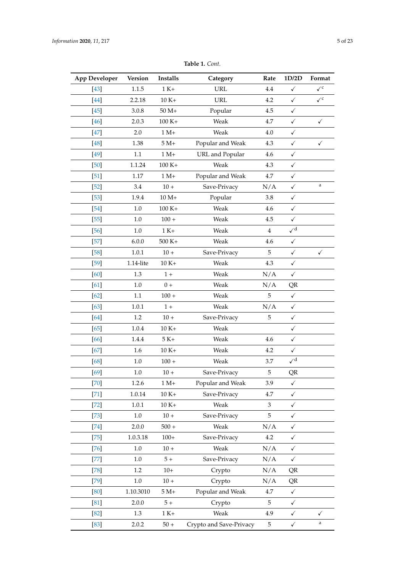| <b>App Developer</b> | <b>Version</b> | Installs  | Category                | Rate           | 1D/2D        | Format       |
|----------------------|----------------|-----------|-------------------------|----------------|--------------|--------------|
| $[43]$               | 1.1.5          | $1 K+$    | <b>URL</b>              | 4.4            | $\checkmark$ | $\sqrt{c}$   |
| $[44]$               | 2.2.18         | $10K +$   | <b>URL</b>              | 4.2            | $\checkmark$ | $\sqrt{c}$   |
| $[45]$               | 3.0.8          | $50M+$    | Popular                 | 4.5            | $\checkmark$ |              |
| $[46]$               | 2.0.3          | $100K +$  | Weak                    | 4.7            | $\checkmark$ | $\checkmark$ |
| $[47]$               | 2.0            | $1 M+$    | Weak                    | 4.0            | $\checkmark$ |              |
| $[48]$               | 1.38           | $5M+$     | Popular and Weak        | 4.3            | $\checkmark$ | ✓            |
| $[49]$               | 1.1            | $1 M+$    | <b>URL</b> and Popular  | 4.6            | $\checkmark$ |              |
| $[50]$               | 1.1.24         | $100K +$  | Weak                    | 4.3            | $\checkmark$ |              |
| $[51]$               | 1.17           | $1 M+$    | Popular and Weak        | 4.7            | $\checkmark$ |              |
| $[52]$               | 3.4            | $10 +$    | Save-Privacy            | N/A            | $\checkmark$ | a            |
| $[53]$               | 1.9.4          | $10M+$    | Popular                 | 3.8            | $\checkmark$ |              |
| $[54]$               | 1.0            | $100K +$  | Weak                    | 4.6            | $\checkmark$ |              |
| $[55]$               | $1.0\,$        | $100 +$   | Weak                    | 4.5            | $\checkmark$ |              |
| $[56]$               | $1.0\,$        | $1 K+$    | Weak                    | $\overline{4}$ | $\sqrt{d}$   |              |
| $[57]$               | 6.0.0          | $500 K +$ | Weak                    | 4.6            | $\checkmark$ |              |
| $[58]$               | 1.0.1          | $10 +$    | Save-Privacy            | 5              | $\checkmark$ | $\checkmark$ |
| $[59]$               | $1.14$ -lite   | $10K+$    | Weak                    | 4.3            | $\checkmark$ |              |
| [60]                 | 1.3            | $1 +$     | Weak                    | N/A            | $\checkmark$ |              |
| [61]                 | 1.0            | $0 +$     | Weak                    | N/A            | QR           |              |
| $[62]$               | 1.1            | $100 +$   | Weak                    | 5              | $\checkmark$ |              |
| $[63]$               | 1.0.1          | $1 +$     | Weak                    | N/A            | $\checkmark$ |              |
| [64]                 | 1.2            | $10 +$    | Save-Privacy            | $\mathbf 5$    | $\checkmark$ |              |
| [65]                 | 1.0.4          | $10K +$   | Weak                    |                | $\checkmark$ |              |
| [66]                 | 1.4.4          | $5K+$     | Weak                    | 4.6            | $\checkmark$ |              |
| $[67]$               | 1.6            | 10 K+     | Weak                    | 4.2            | $\checkmark$ |              |
| [68]                 | $1.0\,$        | $100 +$   | Weak                    | 3.7            | $\sqrt{d}$   |              |
| $[69]$               | 1.0            | $10 +$    | Save-Privacy            | 5              | QR           |              |
| $[70]$               | 1.2.6          | $1 M+$    | Popular and Weak        | 3.9            | $\checkmark$ |              |
| $[71]$               | 1.0.14         | $10 K+$   | Save-Privacy            | 4.7            | $\checkmark$ |              |
| $[72]$               | 1.0.1          | $10K+$    | Weak                    | 3              | ✓            |              |
| $[73]$               | $1.0\,$        | $10 +$    | Save-Privacy            | $\mathbf 5$    | $\checkmark$ |              |
| $[74]$               | 2.0.0          | $500 +$   | Weak                    | N/A            | $\checkmark$ |              |
| $[75]$               | 1.0.3.18       | $100+$    | Save-Privacy            | 4.2            | ✓            |              |
| $[76]$               | $1.0\,$        | $10 +$    | Weak                    | N/A            | $\checkmark$ |              |
| $[77]$               | $1.0\,$        | $5+$      | Save-Privacy            | N/A            | $\checkmark$ |              |
| $[78]$               | 1.2            | $10+$     | Crypto                  | N/A            | QR           |              |
| $[79]$               | $1.0\,$        | $10 +$    | Crypto                  | N/A            | QR           |              |
| [80]                 | 1.10.3010      | $5M+$     | Popular and Weak        | $4.7\,$        | $\checkmark$ |              |
| [81]                 | 2.0.0          | $5+$      | Crypto                  | 5              | ✓            |              |
| $[82]$               | 1.3            | $1 K+$    | Weak                    | 4.9            | $\checkmark$ | ✓            |
| $[83]$               | 2.0.2          | $50 +$    | Crypto and Save-Privacy | $\,$ 5 $\,$    | $\checkmark$ | a            |

# **Table 1.** *Cont.*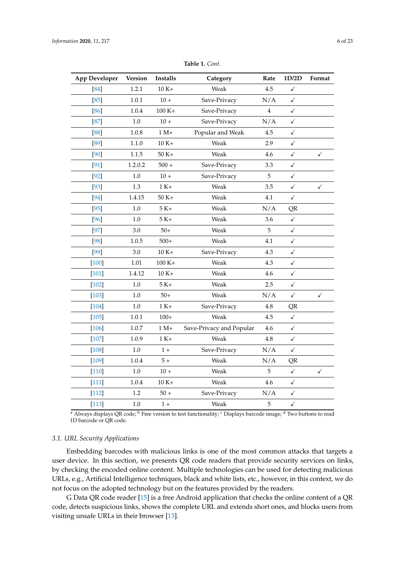<span id="page-5-0"></span>

| <b>App Developer</b> | <b>Version</b> | <b>Installs</b> | Category                 | Rate           | 1D/2D        | Format       |
|----------------------|----------------|-----------------|--------------------------|----------------|--------------|--------------|
| [84]                 | 1.2.1          | $10K+$          | Weak                     | 4.5            | $\checkmark$ |              |
| [85]                 | 1.0.1          | $10 +$          | Save-Privacy             | N/A            | $\checkmark$ |              |
| [86]                 | 1.0.4          | $100K +$        | Save-Privacy             | $\overline{4}$ | $\checkmark$ |              |
| $[87]$               | 1.0            | $10 +$          | Save-Privacy             | N/A            | $\checkmark$ |              |
| [88]                 | 1.0.8          | $1 M+$          | Popular and Weak         | 4.5            | ✓            |              |
| [89]                 | 1.1.0          | $10K+$          | Weak                     | 2.9            | $\checkmark$ |              |
| [90]                 | 1.1.5          | $50K+$          | Weak                     | 4.6            | $\checkmark$ | $\checkmark$ |
| $[91]$               | 1.2.0.2        | $500 +$         | Save-Privacy             | 3.3            | $\checkmark$ |              |
| $[92]$               | 1.0            | $10 +$          | Save-Privacy             | $\mathbf 5$    | $\checkmark$ |              |
| $[93]$               | 1.3            | $1 K+$          | Weak                     | 3.5            | $\checkmark$ | $\checkmark$ |
| $[94]$               | 1.4.15         | $50K+$          | Weak                     | 4.1            | $\checkmark$ |              |
| $[95]$               | $1.0\,$        | $5K+$           | Weak                     | N/A            | QR           |              |
| $[96]$               | $1.0\,$        | $5K+$           | Weak                     | 3.6            | $\checkmark$ |              |
| $[97]$               | 3.0            | $50+$           | Weak                     | $\sqrt{5}$     | $\checkmark$ |              |
| $[98]$               | 1.0.5          | $500+$          | Weak                     | 4.1            | $\checkmark$ |              |
| [99]                 | 3.0            | $10K+$          | Save-Privacy             | 4.3            | $\checkmark$ |              |
| $[100]$              | 1.01           | $100K +$        | Weak                     | 4.3            | $\checkmark$ |              |
| $[101]$              | 1.4.12         | $10K +$         | Weak                     | 4.6            | $\checkmark$ |              |
| $[102]$              | $1.0\,$        | $5K+$           | Weak                     | 2.5            | $\checkmark$ |              |
| $[103]$              | $1.0\,$        | $50+$           | Weak                     | N/A            | $\checkmark$ | ✓            |
| $[104]$              | 1.0            | $1 K+$          | Save-Privacy             | 4.8            | QR           |              |
| $[105]$              | 1.0.1          | $100+$          | Weak                     | 4.5            | $\checkmark$ |              |
| $[106]$              | 1.0.7          | $1 M+$          | Save-Privacy and Popular | 4.6            | $\checkmark$ |              |
| $[107]$              | 1.0.9          | $1 K+$          | Weak                     | $4.8\,$        | ✓            |              |
| $[108]$              | $1.0\,$        | $1 +$           | Save-Privacy             | N/A            | $\checkmark$ |              |
| $[109]$              | 1.0.4          | $5+$            | Weak                     | N/A            | QR           |              |
| $[110]$              | $1.0\,$        | $10 +$          | Weak                     | 5              | $\checkmark$ | $\checkmark$ |
| $[111]$              | 1.0.4          | $10K+$          | Weak                     | 4.6            | $\checkmark$ |              |
| $[112]$              | 1.2            | $50 +$          | Save-Privacy             | N/A            | $\checkmark$ |              |
| $[113]$              | $1.0\,$        | $1 +$           | Weak                     | 5              | $\checkmark$ |              |

**Table 1.** *Cont.*

<sup>a</sup> Always displays QR code; <sup>b</sup> Free version to test functionality; <sup>c</sup> Displays barcode image; <sup>d</sup> Two buttons to read 1D barcode or QR code.

## *3.1. URL Security Applications*

Embedding barcodes with malicious links is one of the most common attacks that targets a user device. In this section, we presents QR code readers that provide security services on links, by checking the encoded online content. Multiple technologies can be used for detecting malicious URLs, e.g., Artificial Intelligence techniques, black and white lists, etc., however, in this context, we do not focus on the adopted technology but on the features provided by the readers.

G Data QR code reader [\[15\]](#page-18-7) is a free Android application that checks the online content of a QR code, detects suspicious links, shows the complete URL and extends short ones, and blocks users from visiting unsafe URLs in their browser [\[13\]](#page-18-5).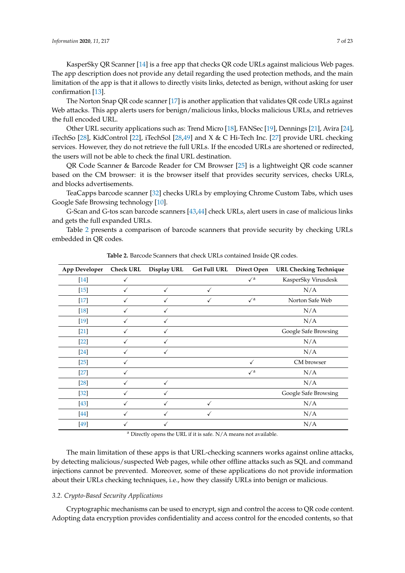KasperSky QR Scanner [\[14\]](#page-18-6) is a free app that checks QR code URLs against malicious Web pages. The app description does not provide any detail regarding the used protection methods, and the main limitation of the app is that it allows to directly visits links, detected as benign, without asking for user confirmation [\[13\]](#page-18-5).

The Norton Snap QR code scanner [\[17\]](#page-18-9) is another application that validates QR code URLs against Web attacks. This app alerts users for benign/malicious links, blocks malicious URLs, and retrieves the full encoded URL.

Other URL security applications such as: Trend Micro [\[18\]](#page-18-10), FANSec [\[19\]](#page-18-11), Dennings [\[21\]](#page-18-13), Avira [\[24\]](#page-18-16), iTechSo [\[28\]](#page-18-20), KidControl [\[22\]](#page-18-14), iTechSol [\[28](#page-18-20)[,49\]](#page-19-17) and X & C Hi-Tech Inc. [\[27\]](#page-18-19) provide URL checking services. However, they do not retrieve the full URLs. If the encoded URLs are shortened or redirected, the users will not be able to check the final URL destination.

QR Code Scanner & Barcode Reader for CM Browser [\[25\]](#page-18-17) is a lightweight QR code scanner based on the CM browser: it is the browser itself that provides security services, checks URLs, and blocks advertisements.

TeaCapps barcode scanner [\[32\]](#page-19-0) checks URLs by employing Chrome Custom Tabs, which uses Google Safe Browsing technology [\[10\]](#page-18-2).

G-Scan and G-tos scan barcode scanners [\[43](#page-19-11)[,44\]](#page-19-12) check URLs, alert users in case of malicious links and gets the full expanded URLs.

Table [2](#page-6-0) presents a comparison of barcode scanners that provide security by checking URLs embedded in QR codes.

<span id="page-6-0"></span>

| <b>App Developer</b> | <b>Check URL</b> | Display URL  | <b>Get Full URL</b> | Direct Open  | <b>URL Checking Technique</b> |
|----------------------|------------------|--------------|---------------------|--------------|-------------------------------|
| $[14]$               | ✓                |              |                     | $\sqrt{a}$   | KasperSky Virusdesk           |
| $[15]$               | ✓                | $\checkmark$ | ✓                   |              | N/A                           |
| $[17]$               |                  |              |                     | $\sqrt{a}$   | Norton Safe Web               |
| $[18]$               | √                |              |                     |              | N/A                           |
| $[19]$               |                  |              |                     |              | N/A                           |
| $[21]$               | ✓                | $\checkmark$ |                     |              | Google Safe Browsing          |
| $[22]$               |                  |              |                     |              | N/A                           |
| $[24]$               | √                | ✓            |                     |              | N/A                           |
| $[25]$               | ✓                |              |                     | $\checkmark$ | CM browser                    |
| $[27]$               | ✓                |              |                     | $\sqrt{a}$   | N/A                           |
| $[28]$               |                  |              |                     |              | N/A                           |
| $[32]$               | ✓                |              |                     |              | Google Safe Browsing          |
| $[43]$               | ✓                | √            | ✓                   |              | N/A                           |
| $[44]$               |                  |              | ✓                   |              | N/A                           |
| [49]                 |                  | √            |                     |              | N/A                           |

**Table 2.** Barcode Scanners that check URLs contained Inside QR codes.

<sup>a</sup> Directly opens the URL if it is safe. N/A means not available.

The main limitation of these apps is that URL-checking scanners works against online attacks, by detecting malicious/suspected Web pages, while other offline attacks such as SQL and command injections cannot be prevented. Moreover, some of these applications do not provide information about their URLs checking techniques, i.e., how they classify URLs into benign or malicious.

#### *3.2. Crypto-Based Security Applications*

Cryptographic mechanisms can be used to encrypt, sign and control the access to QR code content. Adopting data encryption provides confidentiality and access control for the encoded contents, so that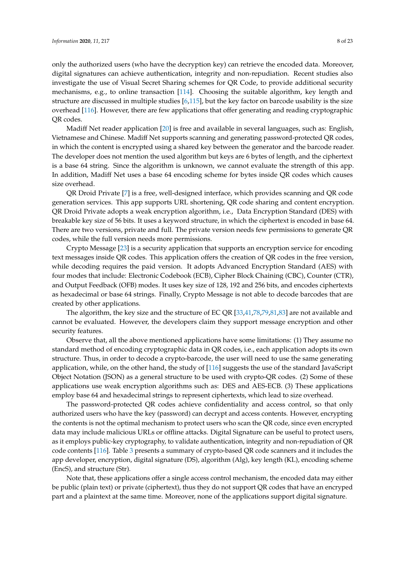only the authorized users (who have the decryption key) can retrieve the encoded data. Moreover, digital signatures can achieve authentication, integrity and non-repudiation. Recent studies also investigate the use of Visual Secret Sharing schemes for QR Code, to provide additional security mechanisms, e.g., to online transaction [\[114\]](#page-22-5). Choosing the suitable algorithm, key length and structure are discussed in multiple studies [\[6](#page-17-5)[,115\]](#page-22-6), but the key factor on barcode usability is the size overhead [\[116\]](#page-22-7). However, there are few applications that offer generating and reading cryptographic QR codes.

Madiff Net reader application [\[20\]](#page-18-12) is free and available in several languages, such as: English, Vietnamese and Chinese. Madiff Net supports scanning and generating password-protected QR codes, in which the content is encrypted using a shared key between the generator and the barcode reader. The developer does not mention the used algorithm but keys are 6 bytes of length, and the ciphertext is a base 64 string. Since the algorithm is unknown, we cannot evaluate the strength of this app. In addition, Madiff Net uses a base 64 encoding scheme for bytes inside QR codes which causes size overhead.

QR Droid Private [\[7\]](#page-17-6) is a free, well-designed interface, which provides scanning and QR code generation services. This app supports URL shortening, QR code sharing and content encryption. QR Droid Private adopts a weak encryption algorithm, i.e., Data Encryption Standard (DES) with breakable key size of 56 bits. It uses a keyword structure, in which the ciphertext is encoded in base 64. There are two versions, private and full. The private version needs few permissions to generate QR codes, while the full version needs more permissions.

Crypto Message [\[23\]](#page-18-15) is a security application that supports an encryption service for encoding text messages inside QR codes. This application offers the creation of QR codes in the free version, while decoding requires the paid version. It adopts Advanced Encryption Standard (AES) with four modes that include: Electronic Codebook (ECB), Cipher Block Chaining (CBC), Counter (CTR), and Output Feedback (OFB) modes. It uses key size of 128, 192 and 256 bits, and encodes ciphertexts as hexadecimal or base 64 strings. Finally, Crypto Message is not able to decode barcodes that are created by other applications.

The algorithm, the key size and the structure of EC QR [\[33](#page-19-1)[,41](#page-19-9)[,78](#page-20-19)[,79](#page-20-20)[,81](#page-20-22)[,83\]](#page-20-24) are not available and cannot be evaluated. However, the developers claim they support message encryption and other security features.

Observe that, all the above mentioned applications have some limitations: (1) They assume no standard method of encoding cryptographic data in QR codes, i.e., each application adopts its own structure. Thus, in order to decode a crypto-barcode, the user will need to use the same generating application, while, on the other hand, the study of [\[116\]](#page-22-7) suggests the use of the standard JavaScript Object Notation (JSON) as a general structure to be used with crypto-QR codes. (2) Some of these applications use weak encryption algorithms such as: DES and AES-ECB. (3) These applications employ base 64 and hexadecimal strings to represent ciphertexts, which lead to size overhead.

The password-protected QR codes achieve confidentiality and access control, so that only authorized users who have the key (password) can decrypt and access contents. However, encrypting the contents is not the optimal mechanism to protect users who scan the QR code, since even encrypted data may include malicious URLs or offline attacks. Digital Signature can be useful to protect users, as it employs public-key cryptography, to validate authentication, integrity and non-repudiation of QR code contents [\[116\]](#page-22-7). Table [3](#page-8-0) presents a summary of crypto-based QR code scanners and it includes the app developer, encryption, digital signature (DS), algorithm (Alg), key length (KL), encoding scheme (EncS), and structure (Str).

Note that, these applications offer a single access control mechanism, the encoded data may either be public (plain text) or private (ciphertext), thus they do not support QR codes that have an encryped part and a plaintext at the same time. Moreover, none of the applications support digital signature.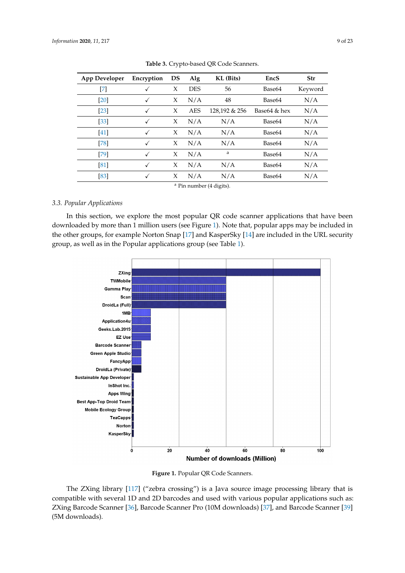<span id="page-8-0"></span>

| App Developer                                                                                                                                                                                                                                                                                                                                                                                                                                                                                          | Encryption | <b>DS</b>     | Alg        | KL (Bits)                                                                                                                                                                                                                                                                                        | EncS               | Str     |
|--------------------------------------------------------------------------------------------------------------------------------------------------------------------------------------------------------------------------------------------------------------------------------------------------------------------------------------------------------------------------------------------------------------------------------------------------------------------------------------------------------|------------|---------------|------------|--------------------------------------------------------------------------------------------------------------------------------------------------------------------------------------------------------------------------------------------------------------------------------------------------|--------------------|---------|
| $[7] \centering% \includegraphics[width=1\textwidth]{images/TransY.pdf} \caption{The first two different values of $d=3$ and $d=4$ (left) and $d=5$ (right) and $d=6$ (right) and $d=6$ (right) and $d=6$ (right) and $d=6$ (right) and $d=6$ (right) and $d=6$ (right) and $d=6$ (right) and $d=6$ (right) and $d=6$ (right) and $d=6$ (right) and $d=6$ (right) and $d=6$ (right) and $d=6$ (right) and $d=6$ (right) and $d=6$ (right) and $d=6$ (right) and $d=6$ (right) and $d=6$ (right) and $$ | √          | X             | <b>DES</b> | 56                                                                                                                                                                                                                                                                                               | Base <sub>64</sub> | Keyword |
| [20]                                                                                                                                                                                                                                                                                                                                                                                                                                                                                                   | √          | X             | N/A        | 48                                                                                                                                                                                                                                                                                               | Base <sub>64</sub> | N/A     |
| [23]                                                                                                                                                                                                                                                                                                                                                                                                                                                                                                   | ✓          | X             | <b>AES</b> | 128,192 & 256                                                                                                                                                                                                                                                                                    | Base64 & hex       | N/A     |
| [33]                                                                                                                                                                                                                                                                                                                                                                                                                                                                                                   | ✓          | X             | N/A        | N/A                                                                                                                                                                                                                                                                                              | Base <sub>64</sub> | N/A     |
| [41]                                                                                                                                                                                                                                                                                                                                                                                                                                                                                                   | ✓          | X             | N/A        | N/A                                                                                                                                                                                                                                                                                              | Base <sub>64</sub> | N/A     |
| [78]                                                                                                                                                                                                                                                                                                                                                                                                                                                                                                   | ✓          | X             | N/A        | N/A                                                                                                                                                                                                                                                                                              | Base <sub>64</sub> | N/A     |
| $[79]$                                                                                                                                                                                                                                                                                                                                                                                                                                                                                                 | ✓          | X             | N/A        | a                                                                                                                                                                                                                                                                                                | Base <sub>64</sub> | N/A     |
| [81]                                                                                                                                                                                                                                                                                                                                                                                                                                                                                                   | ✓          | X             | N/A        | N/A                                                                                                                                                                                                                                                                                              | Base <sub>64</sub> | N/A     |
| [83]                                                                                                                                                                                                                                                                                                                                                                                                                                                                                                   | ✓          | X             | N/A        | N/A                                                                                                                                                                                                                                                                                              | Base <sub>64</sub> | N/A     |
|                                                                                                                                                                                                                                                                                                                                                                                                                                                                                                        |            | $\sim$ $\sim$ |            | $\mathbf{1}$ and $\mathbf{1}$ and $\mathbf{1}$ and $\mathbf{1}$ and $\mathbf{1}$ and $\mathbf{1}$ and $\mathbf{1}$ and $\mathbf{1}$ and $\mathbf{1}$ and $\mathbf{1}$ and $\mathbf{1}$ and $\mathbf{1}$ and $\mathbf{1}$ and $\mathbf{1}$ and $\mathbf{1}$ and $\mathbf{1}$ and $\mathbf{1}$ and |                    |         |

**Table 3.** Crypto-based QR Code Scanners.

<sup>a</sup> Pin number (4 digits).

#### *3.3. Popular Applications*

In this section, we explore the most popular QR code scanner applications that have been downloaded by more than 1 million users (see Figure [1\)](#page-8-1). Note that, popular apps may be included in the other groups, for example Norton Snap [\[17\]](#page-18-9) and KasperSky [\[14\]](#page-18-6) are included in the URL security group, as well as in the Popular applications group (see Table [1\)](#page-5-0).

<span id="page-8-1"></span>

**Figure 1.** Popular QR Code Scanners.

The ZXing library [\[117\]](#page-22-8) ("zebra crossing") is a Java source image processing library that is compatible with several 1D and 2D barcodes and used with various popular applications such as: ZXing Barcode Scanner [\[36\]](#page-19-4), Barcode Scanner Pro (10M downloads) [\[37\]](#page-19-5), and Barcode Scanner [\[39\]](#page-19-7) (5M downloads).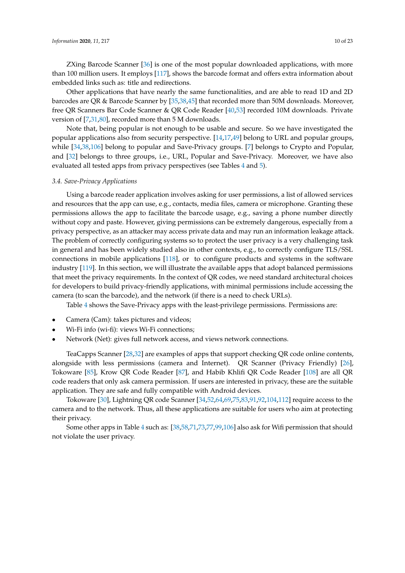ZXing Barcode Scanner [\[36\]](#page-19-4) is one of the most popular downloaded applications, with more than 100 million users. It employs [\[117\]](#page-22-8), shows the barcode format and offers extra information about embedded links such as: title and redirections.

Other applications that have nearly the same functionalities, and are able to read 1D and 2D barcodes are QR & Barcode Scanner by [\[35,](#page-19-3)[38,](#page-19-6)[45\]](#page-19-13) that recorded more than 50M downloads. Moreover, free QR Scanners Bar Code Scanner & QR Code Reader [\[40,](#page-19-8)[53\]](#page-19-21) recorded 10M downloads. Private version of [\[7](#page-17-6)[,31](#page-18-23)[,80\]](#page-20-21), recorded more than 5 M downloads.

Note that, being popular is not enough to be usable and secure. So we have investigated the popular applications also from security perspective. [\[14,](#page-18-6)[17](#page-18-9)[,49\]](#page-19-17) belong to URL and popular groups, while [\[34,](#page-19-2)[38,](#page-19-6)[106\]](#page-21-22) belong to popular and Save-Privacy groups. [\[7\]](#page-17-6) belongs to Crypto and Popular, and [\[32\]](#page-19-0) belongs to three groups, i.e., URL, Popular and Save-Privacy. Moreover, we have also evaluated all tested apps from privacy perspectives (see Tables [4](#page-10-0) and [5\)](#page-13-1).

#### *3.4. Save-Privacy Applications*

Using a barcode reader application involves asking for user permissions, a list of allowed services and resources that the app can use, e.g., contacts, media files, camera or microphone. Granting these permissions allows the app to facilitate the barcode usage, e.g., saving a phone number directly without copy and paste. However, giving permissions can be extremely dangerous, especially from a privacy perspective, as an attacker may access private data and may run an information leakage attack. The problem of correctly configuring systems so to protect the user privacy is a very challenging task in general and has been widely studied also in other contexts, e.g., to correctly configure TLS/SSL connections in mobile applications [\[118\]](#page-22-9), or to configure products and systems in the software industry [\[119\]](#page-22-10). In this section, we will illustrate the available apps that adopt balanced permissions that meet the privacy requirements. In the context of QR codes, we need standard architectural choices for developers to build privacy-friendly applications, with minimal permissions include accessing the camera (to scan the barcode), and the network (if there is a need to check URLs).

Table [4](#page-10-0) shows the Save-Privacy apps with the least-privilege permissions. Permissions are:

- Camera (Cam): takes pictures and videos;
- Wi-Fi info (wi-fi): views Wi-Fi connections;
- Network (Net): gives full network access, and views network connections.

TeaCapps Scanner [\[28,](#page-18-20)[32\]](#page-19-0) are examples of apps that support checking QR code online contents, alongside with less permissions (camera and Internet). QR Scanner (Privacy Friendly) [\[26\]](#page-18-18), Tokoware [\[85\]](#page-21-1), Krow QR Code Reader [\[87\]](#page-21-3), and Habib Khlifi QR Code Reader [\[108\]](#page-21-24) are all QR code readers that only ask camera permission. If users are interested in privacy, these are the suitable application. They are safe and fully compatible with Android devices.

Tokoware [\[30\]](#page-18-22), Lightning QR code Scanner [\[34](#page-19-2)[,52](#page-19-20)[,64,](#page-20-5)[69,](#page-20-10)[75,](#page-20-16)[83,](#page-20-24)[91,](#page-21-7)[92](#page-21-8)[,104](#page-21-20)[,112\]](#page-22-3) require access to the camera and to the network. Thus, all these applications are suitable for users who aim at protecting their privacy.

Some other apps in Table [4](#page-10-0) such as: [\[38,](#page-19-6)[58,](#page-19-26)[71](#page-20-12)[,73,](#page-20-14)[77](#page-20-18)[,99,](#page-21-15)[106\]](#page-21-22) also ask for Wifi permission that should not violate the user privacy.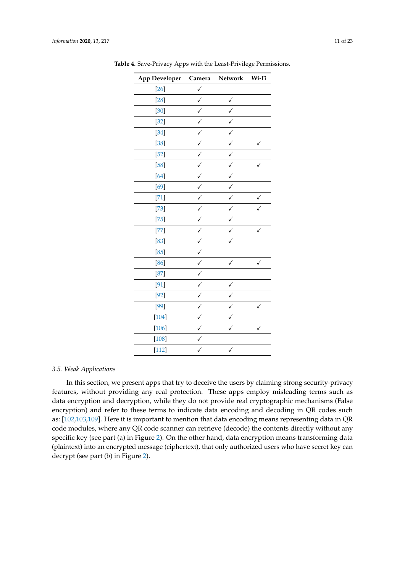| <b>App Developer</b> | Camera       | Network      | Wi-Fi |
|----------------------|--------------|--------------|-------|
| $[26]$               | ✓            |              |       |
| $[28]$               | ✓            | ✓            |       |
| $[30]$               |              | $\checkmark$ |       |
| $[32]$               |              |              |       |
| $[34]$               | √            |              |       |
| $[38]$               |              |              |       |
| $[52]$               |              |              |       |
| [58]                 |              |              |       |
| $[64]$               | ✓            | $\checkmark$ |       |
| [69]                 |              | $\checkmark$ |       |
| $[71]$               |              |              |       |
| $[73]$               | √            |              |       |
| $[75]$               |              |              |       |
| $[77]$               |              |              |       |
| $[83]$               |              |              |       |
| $[85]$               | $\checkmark$ |              |       |
| [86]                 | ✓            | ✓            | ✓     |
| $[87]$               |              |              |       |
| $[91]$               | √            |              |       |
| $[92]$               |              |              |       |
| $[99]$               |              |              |       |
| $[104]$              | ✓            |              |       |
| $[106]$              | $\checkmark$ | ✓            |       |
| $[108]$              | ✓            |              |       |
| $[112]$              |              |              |       |

<span id="page-10-0"></span>**Table 4.** Save-Privacy Apps with the Least-Privilege Permissions.

## *3.5. Weak Applications*

In this section, we present apps that try to deceive the users by claiming strong security-privacy features, without providing any real protection. These apps employ misleading terms such as data encryption and decryption, while they do not provide real cryptographic mechanisms (False encryption) and refer to these terms to indicate data encoding and decoding in QR codes such as: [\[102,](#page-21-18)[103,](#page-21-19)[109\]](#page-22-0). Here it is important to mention that data encoding means representing data in QR code modules, where any QR code scanner can retrieve (decode) the contents directly without any specific key (see part (a) in Figure [2\)](#page-11-1). On the other hand, data encryption means transforming data (plaintext) into an encrypted message (ciphertext), that only authorized users who have secret key can decrypt (see part (b) in Figure [2\)](#page-11-1).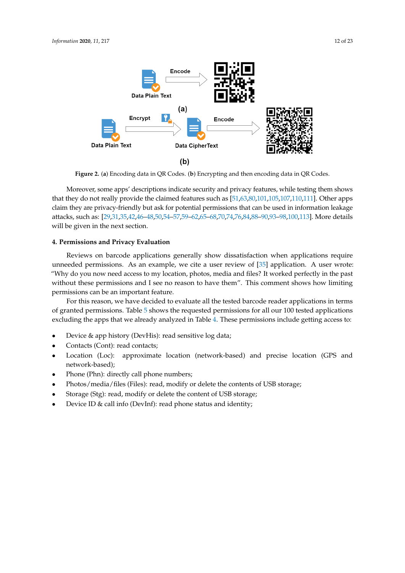<span id="page-11-1"></span>

**Figure 2.** (**a**) Encoding data in QR Codes. (**b**) Encrypting and then encoding data in QR Codes.

Moreover, some apps' descriptions indicate security and privacy features, while testing them shows that they do not really provide the claimed features such as [\[51](#page-19-19)[,63,](#page-20-4)[80](#page-20-21)[,101,](#page-21-17)[105,](#page-21-21)[107,](#page-21-23)[110,](#page-22-1)[111\]](#page-22-2). Other apps claim they are privacy-friendly but ask for potential permissions that can be used in information leakage attacks, such as: [\[29,](#page-18-21)[31,](#page-18-23)[35](#page-19-3)[,42,](#page-19-10)[46–](#page-19-14)[48,](#page-19-16)[50,](#page-19-18)[54–](#page-19-22)[57,](#page-19-25)[59–](#page-20-0)[62](#page-20-3)[,65–](#page-20-6)[68](#page-20-9)[,70,](#page-20-11)[74,](#page-20-15)[76](#page-20-17)[,84,](#page-21-0)[88](#page-21-4)[–90](#page-21-6)[,93](#page-21-9)[–98](#page-21-14)[,100](#page-21-16)[,113\]](#page-22-4). More details will be given in the next section.

## <span id="page-11-0"></span>**4. Permissions and Privacy Evaluation**

Reviews on barcode applications generally show dissatisfaction when applications require unneeded permissions. As an example, we cite a user review of [\[35\]](#page-19-3) application. A user wrote: "Why do you now need access to my location, photos, media and files? It worked perfectly in the past without these permissions and I see no reason to have them". This comment shows how limiting permissions can be an important feature.

For this reason, we have decided to evaluate all the tested barcode reader applications in terms of granted permissions. Table [5](#page-13-1) shows the requested permissions for all our 100 tested applications excluding the apps that we already analyzed in Table [4.](#page-10-0) These permissions include getting access to:

- Device & app history (DevHis): read sensitive log data;
- Contacts (Cont): read contacts;
- Location (Loc): approximate location (network-based) and precise location (GPS and network-based);
- Phone (Phn): directly call phone numbers;
- Photos/media/files (Files): read, modify or delete the contents of USB storage;
- Storage (Stg): read, modify or delete the content of USB storage;
- Device ID & call info (DevInf): read phone status and identity;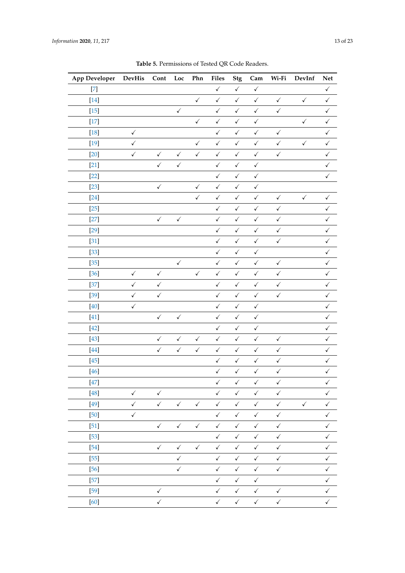| App Developer | <b>DevHis</b> | Cont         | Loc          | Phn          | Files        | <b>Stg</b>   | Cam          | Wi-Fi        | DevInf       | Net          |
|---------------|---------------|--------------|--------------|--------------|--------------|--------------|--------------|--------------|--------------|--------------|
| $[7]$         |               |              |              |              | $\checkmark$ | $\checkmark$ | $\checkmark$ |              |              | $\checkmark$ |
| $[14]$        |               |              |              | $\checkmark$ | $\checkmark$ | $\checkmark$ | $\checkmark$ | $\checkmark$ | $\checkmark$ | $\checkmark$ |
| $[15]$        |               |              | $\checkmark$ |              | $\checkmark$ | $\checkmark$ | $\checkmark$ | $\checkmark$ |              | $\checkmark$ |
| $[17]$        |               |              |              | $\checkmark$ | $\checkmark$ | $\checkmark$ | $\checkmark$ |              | $\checkmark$ | $\checkmark$ |
| $[18]$        | $\checkmark$  |              |              |              | $\checkmark$ | $\checkmark$ | $\checkmark$ | $\checkmark$ |              | ✓            |
| $[19]$        | $\checkmark$  |              |              | $\checkmark$ | $\checkmark$ | $\checkmark$ | $\checkmark$ | $\checkmark$ | $\checkmark$ | $\checkmark$ |
| $[20]$        | $\checkmark$  | $\checkmark$ | $\checkmark$ | $\checkmark$ | $\checkmark$ | $\checkmark$ | $\checkmark$ | $\checkmark$ |              | $\checkmark$ |
| $[21]$        |               | $\checkmark$ | $\checkmark$ |              | $\checkmark$ | $\checkmark$ | $\checkmark$ |              |              | ✓            |
| $[22]$        |               |              |              |              | $\checkmark$ | $\checkmark$ | $\checkmark$ |              |              | $\checkmark$ |
| $[23]$        |               | $\checkmark$ |              | $\checkmark$ | $\checkmark$ | $\checkmark$ | $\checkmark$ |              |              |              |
| $[24]$        |               |              |              | $\checkmark$ | $\checkmark$ | $\checkmark$ | $\checkmark$ | $\checkmark$ | $\checkmark$ | $\checkmark$ |
| $[25]$        |               |              |              |              | $\checkmark$ | $\checkmark$ | $\checkmark$ | $\checkmark$ |              | $\checkmark$ |
| $[27]$        |               | $\checkmark$ | $\checkmark$ |              | $\checkmark$ | $\checkmark$ | $\checkmark$ | $\checkmark$ |              | ✓            |
| $[29]$        |               |              |              |              | $\checkmark$ | $\checkmark$ | $\checkmark$ | $\checkmark$ |              | ✓            |
| $[31]$        |               |              |              |              | $\checkmark$ | $\checkmark$ | $\checkmark$ | $\checkmark$ |              | $\checkmark$ |
| $[33]$        |               |              |              |              | $\checkmark$ | $\checkmark$ | $\checkmark$ |              |              | ✓            |
| $[35]$        |               |              | $\checkmark$ |              | $\checkmark$ | $\checkmark$ | $\checkmark$ | $\checkmark$ |              | ✓            |
| $[36]$        | $\checkmark$  | $\checkmark$ |              | $\checkmark$ | $\checkmark$ | $\checkmark$ | $\checkmark$ | $\checkmark$ |              | $\checkmark$ |
| $[37]$        | $\checkmark$  | $\checkmark$ |              |              | $\checkmark$ | $\checkmark$ | $\checkmark$ | $\checkmark$ |              | ✓            |
| $[39]$        | $\checkmark$  | $\checkmark$ |              |              | $\checkmark$ | $\checkmark$ | $\checkmark$ | $\checkmark$ |              | ✓            |
| $[40]$        | $\checkmark$  |              |              |              | $\checkmark$ | $\checkmark$ | $\checkmark$ |              |              | $\checkmark$ |
| $[41]$        |               | $\checkmark$ | $\checkmark$ |              | $\checkmark$ | $\checkmark$ | $\checkmark$ |              |              | ✓            |
| $[42]$        |               |              |              |              | $\checkmark$ | $\checkmark$ | $\checkmark$ |              |              | $\checkmark$ |
| $[43]$        |               | $\checkmark$ | $\checkmark$ | $\checkmark$ | $\checkmark$ | $\checkmark$ | $\checkmark$ | $\checkmark$ |              | $\checkmark$ |
| $[44]$        |               | $\checkmark$ | $\checkmark$ | $\checkmark$ | $\checkmark$ | $\checkmark$ | $\checkmark$ | $\checkmark$ |              | ✓            |
| $[45]$        |               |              |              |              | $\checkmark$ | $\checkmark$ | $\checkmark$ | $\checkmark$ |              | $\checkmark$ |
| $[46]$        |               |              |              |              | $\checkmark$ | $\checkmark$ | $\checkmark$ | $\checkmark$ |              | $\checkmark$ |
| $[47]$        |               |              |              |              | $\checkmark$ | $\checkmark$ | $\checkmark$ | $\checkmark$ |              | $\checkmark$ |
| $[48]$        | $\checkmark$  | $\checkmark$ |              |              | $\checkmark$ | $\checkmark$ | $\checkmark$ | $\checkmark$ |              | $\checkmark$ |
| $[49]$        | $\checkmark$  | $\checkmark$ | $\checkmark$ | $\checkmark$ | $\checkmark$ | $\checkmark$ | $\checkmark$ | $\checkmark$ | $\checkmark$ | $\checkmark$ |
| $[50]$        | $\checkmark$  |              |              |              | $\checkmark$ | $\checkmark$ | $\checkmark$ | $\checkmark$ |              | $\checkmark$ |
| $[51]$        |               | $\checkmark$ | $\checkmark$ | $\checkmark$ | $\checkmark$ | $\checkmark$ | $\checkmark$ | $\checkmark$ |              | $\checkmark$ |
| $[53]$        |               |              |              |              | $\checkmark$ | $\checkmark$ | $\checkmark$ | $\checkmark$ |              | $\checkmark$ |
| $[54]$        |               | $\checkmark$ | $\checkmark$ | $\checkmark$ | $\checkmark$ | $\checkmark$ | $\checkmark$ | $\checkmark$ |              | $\checkmark$ |
| $[55]$        |               |              | $\checkmark$ |              | $\checkmark$ | $\checkmark$ | $\checkmark$ | $\checkmark$ |              | $\checkmark$ |
| $[56]$        |               |              | $\checkmark$ |              | $\checkmark$ | $\checkmark$ | $\checkmark$ | $\checkmark$ |              | $\checkmark$ |
| $[57]$        |               |              |              |              | $\checkmark$ | $\checkmark$ | $\checkmark$ |              |              | $\checkmark$ |
| $[59]$        |               | $\checkmark$ |              |              | $\checkmark$ | $\checkmark$ | $\checkmark$ | $\checkmark$ |              | $\checkmark$ |
| [60]          |               | $\checkmark$ |              |              | $\checkmark$ | $\checkmark$ | $\checkmark$ | $\checkmark$ |              | $\checkmark$ |

**Table 5.** Permissions of Tested QR Code Readers.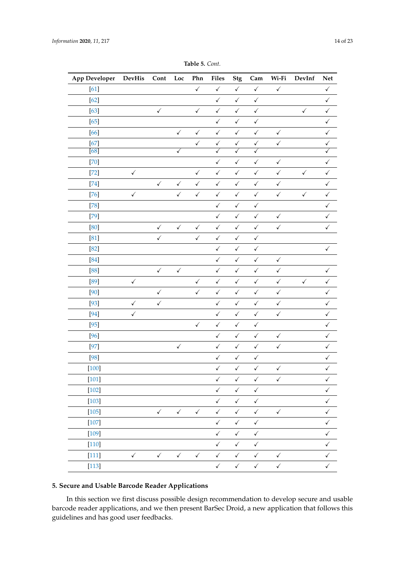<span id="page-13-1"></span>

| <b>App Developer</b> | <b>DevHis</b> | Cont         | Loc          | Phn          | <b>Files</b> | <b>Stg</b>   | Cam          | Wi-Fi        | DevInf       | Net          |
|----------------------|---------------|--------------|--------------|--------------|--------------|--------------|--------------|--------------|--------------|--------------|
| [61]                 |               |              |              | $\checkmark$ | $\checkmark$ | $\checkmark$ | $\checkmark$ | $\checkmark$ |              | ✓            |
| $[62]$               |               |              |              |              | $\checkmark$ | $\checkmark$ | $\checkmark$ |              |              | $\checkmark$ |
| $[63]$               |               | $\checkmark$ |              | $\checkmark$ | $\checkmark$ | $\checkmark$ | $\checkmark$ |              | $\checkmark$ | $\checkmark$ |
| $[65]$               |               |              |              |              | ✓            | $\checkmark$ | $\checkmark$ |              |              | $\checkmark$ |
| [66]                 |               |              | $\checkmark$ | $\checkmark$ | $\checkmark$ | $\checkmark$ | $\checkmark$ | $\checkmark$ |              | $\checkmark$ |
| $[67]$               |               |              |              | $\checkmark$ | $\checkmark$ | $\checkmark$ | ✓            | $\checkmark$ |              | $\checkmark$ |
| [68]                 |               |              | $\checkmark$ |              | $\checkmark$ | ✓            | ✓            |              |              | ✓            |
| [70]                 |               |              |              |              | $\checkmark$ | $\checkmark$ | $\checkmark$ | $\checkmark$ |              | $\checkmark$ |
| $[72]$               | $\checkmark$  |              |              | $\checkmark$ | $\checkmark$ | $\checkmark$ | $\checkmark$ | $\checkmark$ | $\checkmark$ | $\checkmark$ |
| $[74]$               |               | $\checkmark$ | $\checkmark$ | $\checkmark$ | $\checkmark$ | $\checkmark$ | $\checkmark$ | $\checkmark$ |              | $\checkmark$ |
| $[76]$               | $\checkmark$  |              | $\checkmark$ | $\checkmark$ | $\checkmark$ | $\checkmark$ | $\checkmark$ | $\checkmark$ | $\checkmark$ | $\checkmark$ |
| $[78]$               |               |              |              |              | $\checkmark$ | $\checkmark$ | $\checkmark$ |              |              | $\checkmark$ |
| $[79]$               |               |              |              |              | $\checkmark$ | $\checkmark$ | $\checkmark$ | $\checkmark$ |              | $\checkmark$ |
| [80]                 |               | $\checkmark$ | $\checkmark$ | $\checkmark$ | $\checkmark$ | $\checkmark$ | $\checkmark$ | $\checkmark$ |              | $\checkmark$ |
| $[81]$               |               | $\checkmark$ |              | $\checkmark$ | $\checkmark$ | $\checkmark$ | $\checkmark$ |              |              |              |
| $[82]$               |               |              |              |              | $\checkmark$ | $\checkmark$ | $\checkmark$ |              |              | $\checkmark$ |
| $[84]$               |               |              |              |              | $\checkmark$ | $\checkmark$ | $\checkmark$ | $\checkmark$ |              |              |
| $[88]$               |               | $\checkmark$ | $\checkmark$ |              | $\checkmark$ | $\checkmark$ | $\checkmark$ | $\checkmark$ |              | $\checkmark$ |
| $[89]$               | $\checkmark$  |              |              | $\checkmark$ | $\checkmark$ | $\checkmark$ | $\checkmark$ | $\checkmark$ | $\checkmark$ | $\checkmark$ |
| [90]                 |               | $\checkmark$ |              | $\checkmark$ | $\checkmark$ | $\checkmark$ | $\checkmark$ | $\checkmark$ |              | $\checkmark$ |
| $[93]$               | $\checkmark$  | $\checkmark$ |              |              | $\checkmark$ | $\checkmark$ | $\checkmark$ | $\checkmark$ |              | $\checkmark$ |
| $[94]$               | $\checkmark$  |              |              |              | $\checkmark$ | $\checkmark$ | $\checkmark$ | $\checkmark$ |              | $\checkmark$ |
| $[95]$               |               |              |              | $\checkmark$ | $\checkmark$ | $\checkmark$ | $\checkmark$ |              |              | $\checkmark$ |
| $[96]$               |               |              |              |              | $\checkmark$ | $\checkmark$ | $\checkmark$ | $\checkmark$ |              | $\checkmark$ |
| $[97]$               |               |              | $\checkmark$ |              | $\checkmark$ | $\checkmark$ | $\checkmark$ | $\checkmark$ |              | $\checkmark$ |
| [98]                 |               |              |              |              | $\checkmark$ | $\checkmark$ | $\checkmark$ |              |              | $\checkmark$ |
| $[100]$              |               |              |              |              | $\checkmark$ | $\checkmark$ | $\checkmark$ | $\checkmark$ |              | $\checkmark$ |
| $[101]$              |               |              |              |              | $\checkmark$ | $\checkmark$ | $\checkmark$ | $\checkmark$ |              | ✓            |
| $[102]$              |               |              |              |              | $\checkmark$ | $\checkmark$ | $\checkmark$ |              |              | $\checkmark$ |
| $[103]$              |               |              |              |              | $\checkmark$ | $\checkmark$ | $\checkmark$ |              |              | $\checkmark$ |
| $[105]$              |               | $\checkmark$ | $\checkmark$ | $\checkmark$ | $\checkmark$ | $\checkmark$ | $\checkmark$ | $\checkmark$ |              | $\checkmark$ |
| $[107]$              |               |              |              |              | $\checkmark$ | $\checkmark$ | $\checkmark$ |              |              | $\checkmark$ |
| $[109]$              |               |              |              |              | $\checkmark$ | $\checkmark$ | $\checkmark$ |              |              | $\checkmark$ |
| $[110]$              |               |              |              |              | $\checkmark$ | $\checkmark$ | $\checkmark$ |              |              | $\checkmark$ |
| $[111]$              | $\checkmark$  | $\checkmark$ | $\checkmark$ | $\checkmark$ | $\checkmark$ | $\checkmark$ | $\checkmark$ | $\checkmark$ |              | $\checkmark$ |
| $[113]$              |               |              |              |              | $\checkmark$ | $\checkmark$ | $\checkmark$ | $\checkmark$ |              | $\checkmark$ |

**Table 5.** *Cont.*

# <span id="page-13-0"></span>**5. Secure and Usable Barcode Reader Applications**

In this section we first discuss possible design recommendation to develop secure and usable barcode reader applications, and we then present BarSec Droid, a new application that follows this guidelines and has good user feedbacks.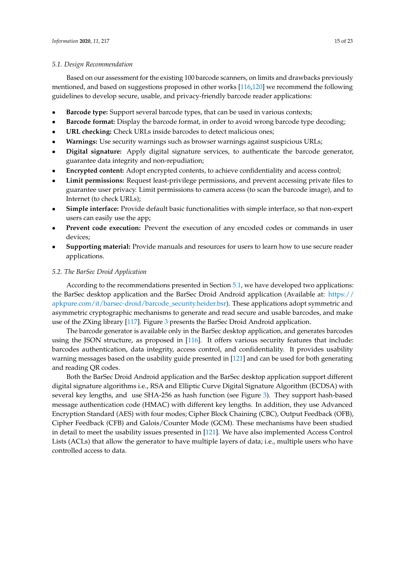#### <span id="page-14-0"></span>*5.1. Design Recommendation*

Based on our assessment for the existing 100 barcode scanners, on limits and drawbacks previously mentioned, and based on suggestions proposed in other works [\[116,](#page-22-7)[120\]](#page-22-11) we recommend the following guidelines to develop secure, usable, and privacy-friendly barcode reader applications:

- **Barcode type:** Support several barcode types, that can be used in various contexts;
- **Barcode format:** Display the barcode format, in order to avoid wrong barcode type decoding;
- **URL checking:** Check URLs inside barcodes to detect malicious ones;
- **Warnings:** Use security warnings such as browser warnings against suspicious URLs;
- **Digital signature:** Apply digital signature services, to authenticate the barcode generator, guarantee data integrity and non-repudiation;
- **Encrypted content:** Adopt encrypted contents, to achieve confidentiality and access control;
- **Limit permissions:** Request least-privilege permissions, and prevent accessing private files to guarantee user privacy. Limit permissions to camera access (to scan the barcode image), and to Internet (to check URLs);
- **Simple interface:** Provide default basic functionalities with simple interface, so that non-expert users can easily use the app;
- **Prevent code execution:** Prevent the execution of any encoded codes or commands in user devices;
- **Supporting material:** Provide manuals and resources for users to learn how to use secure reader applications.

#### *5.2. The BarSec Droid Application*

According to the recommendations presented in Section [5.1,](#page-14-0) we have developed two applications: the BarSec desktop application and the BarSec Droid Android application (Available at: [https://](https://apkpure.com/it/barsec-droid/barcode_security.heider.bsr) [apkpure.com/it/barsec-droid/barcode\\_security.heider.bsr\)](https://apkpure.com/it/barsec-droid/barcode_security.heider.bsr). These applications adopt symmetric and asymmetric cryptographic mechanisms to generate and read secure and usable barcodes, and make use of the ZXing library [\[117\]](#page-22-8). Figure [3](#page-15-0) presents the BarSec Droid Android application.

The barcode generator is available only in the BarSec desktop application, and generates barcodes using the JSON structure, as proposed in [\[116\]](#page-22-7). It offers various security features that include: barcodes authentication, data integrity, access control, and confidentiality. It provides usability warning messages based on the usability guide presented in [\[121\]](#page-22-12) and can be used for both generating and reading QR codes.

Both the BarSec Droid Android application and the BarSec desktop application support different digital signature algorithms i.e., RSA and Elliptic Curve Digital Signature Algorithm (ECDSA) with several key lengths, and use SHA-256 as hash function (see Figure [3\)](#page-15-0). They support hash-based message authentication code (HMAC) with different key lengths. In addition, they use Advanced Encryption Standard (AES) with four modes; Cipher Block Chaining (CBC), Output Feedback (OFB), Cipher Feedback (CFB) and Galois/Counter Mode (GCM). These mechanisms have been studied in detail to meet the usability issues presented in [\[121\]](#page-22-12). We have also implemented Access Control Lists (ACLs) that allow the generator to have multiple layers of data; i.e., multiple users who have controlled access to data.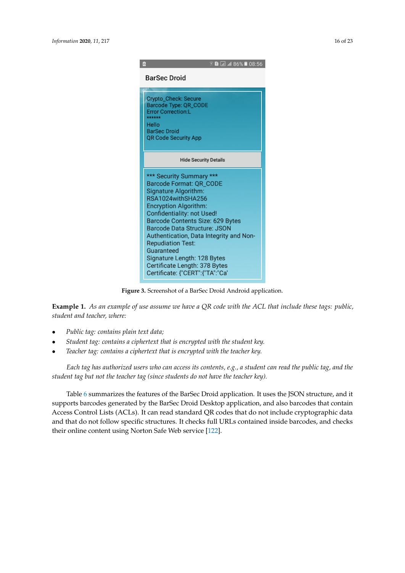<span id="page-15-0"></span>

**Figure 3.** Screenshot of a BarSec Droid Android application.

**Example 1.** *As an example of use assume we have a QR code with the ACL that include these tags: public, student and teacher, where:*

- *Public tag: contains plain text data;*
- *Student tag: contains a ciphertext that is encrypted with the student key.*
- *Teacher tag: contains a ciphertext that is encrypted with the teacher key.*

*Each tag has authorized users who can access its contents, e.g., a student can read the public tag, and the student tag but not the teacher tag (since students do not have the teacher key).*

Table [6](#page-16-1) summarizes the features of the BarSec Droid application. It uses the JSON structure, and it supports barcodes generated by the BarSec Droid Desktop application, and also barcodes that contain Access Control Lists (ACLs). It can read standard QR codes that do not include cryptographic data and that do not follow specific structures. It checks full URLs contained inside barcodes, and checks their online content using Norton Safe Web service [\[122\]](#page-22-13).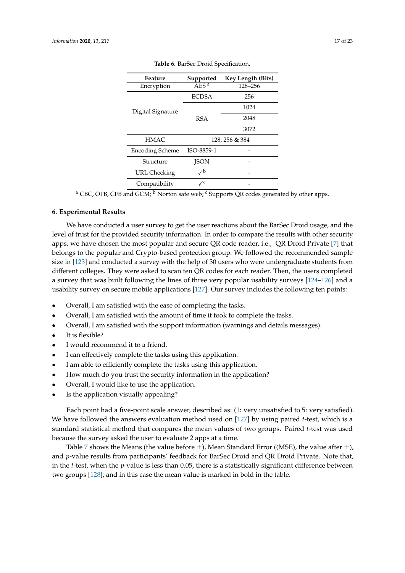<span id="page-16-1"></span>

| Feature                | Supported                  | <b>Key Length (Bits)</b> |
|------------------------|----------------------------|--------------------------|
| Encryption             | AES <sup>a</sup>           | 128-256                  |
|                        | <b>ECDSA</b>               | 256                      |
| Digital Signature      |                            | 1024                     |
|                        | RSA                        | 2048                     |
|                        |                            | 3072                     |
| <b>HMAC</b>            |                            | 128, 256 & 384           |
| <b>Encoding Scheme</b> | ISO-8859-1                 |                          |
| Structure              | <b>ISON</b>                |                          |
| <b>URL Checking</b>    | $\mathcal{N}^{\mathbf{b}}$ |                          |
| Compatibility          | $\mathcal{N}^{\mathsf{C}}$ |                          |

**Table 6.** BarSec Droid Specification.

<sup>a</sup> CBC, OFB, CFB and GCM; <sup>b</sup> Norton safe web; <sup>c</sup> Supports QR codes generated by other apps.

## <span id="page-16-0"></span>**6. Experimental Results**

We have conducted a user survey to get the user reactions about the BarSec Droid usage, and the level of trust for the provided security information. In order to compare the results with other security apps, we have chosen the most popular and secure QR code reader, i.e., QR Droid Private [\[7\]](#page-17-6) that belongs to the popular and Crypto-based protection group. We followed the recommended sample size in [\[123\]](#page-22-14) and conducted a survey with the help of 30 users who were undergraduate students from different colleges. They were asked to scan ten QR codes for each reader. Then, the users completed a survey that was built following the lines of three very popular usability surveys [\[124](#page-22-15)[–126\]](#page-22-16) and a usability survey on secure mobile applications [\[127\]](#page-22-17). Our survey includes the following ten points:

- Overall, I am satisfied with the ease of completing the tasks.
- Overall, I am satisfied with the amount of time it took to complete the tasks.
- Overall, I am satisfied with the support information (warnings and details messages).
- It is flexible?
- I would recommend it to a friend.
- I can effectively complete the tasks using this application.
- I am able to efficiently complete the tasks using this application.
- How much do you trust the security information in the application?
- Overall, I would like to use the application.
- Is the application visually appealing?

Each point had a five-point scale answer, described as: (1: very unsatisfied to 5: very satisfied). We have followed the answers evaluation method used on [\[127\]](#page-22-17) by using paired *t*-test, which is a standard statistical method that compares the mean values of two groups. Paired *t*-test was used because the survey asked the user to evaluate 2 apps at a time.

Table [7](#page-17-8) shows the Means (the value before  $\pm$ ), Mean Standard Error ((MSE), the value after  $\pm$ ), and *p*-value results from participants' feedback for BarSec Droid and QR Droid Private. Note that, in the *t*-test, when the *p*-value is less than 0.05, there is a statistically significant difference between two groups [\[128\]](#page-22-18), and in this case the mean value is marked in bold in the table.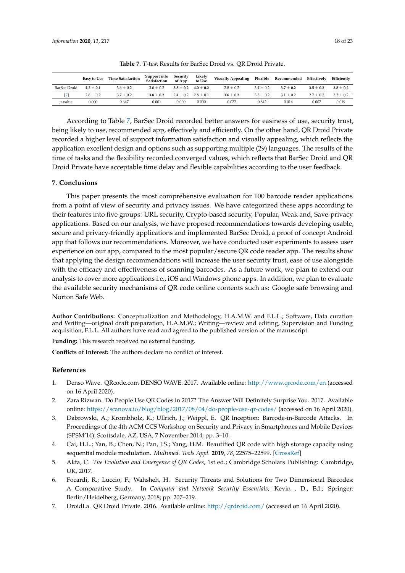<span id="page-17-8"></span>

|                 | Easy to Use   | <b>Time Satisfaction</b> | Support info<br><b>Satisfaction</b> | Security<br>of App          | Likely<br>to Use | Visually Appealing Flexible |               | Recommended   | Effectivelv   | Efficiently   |
|-----------------|---------------|--------------------------|-------------------------------------|-----------------------------|------------------|-----------------------------|---------------|---------------|---------------|---------------|
| BarSec Droid    | $4.2 + 0.1$   | $3.6 \pm 0.2$            | $3.0 \pm 0.2$                       | $3.8 \pm 0.2$ $4.0 \pm 0.2$ |                  | $2.8 \pm 0.2$               | $3.4 \pm 0.2$ | $3.7 + 0.2$   | $3.5 \pm 0.2$ | $3.8 \pm 0.2$ |
|                 | $2.6 \pm 0.2$ | $3.7 \pm 0.2$            | $3.8 \pm 0.2$                       | $2.4 \pm 0.2$ $2.8 \pm 0.1$ |                  | $3.6 \pm 0.2$               | $3.3 \pm 0.2$ | $3.1 \pm 0.2$ | $2.7 \pm 0.2$ | $3.2 \pm 0.2$ |
| <i>p</i> -value | 0.000         | 0.647                    | 0.001                               | 0.000                       | 0.000            | 0.022                       | 0.842         | 0.014         | 0.007         | 0.019         |

**Table 7.** *T*-test Results for BarSec Droid vs. QR Droid Private.

According to Table [7,](#page-17-8) BarSec Droid recorded better answers for easiness of use, security trust, being likely to use, recommended app, effectively and efficiently. On the other hand, QR Droid Private recorded a higher level of support information satisfaction and visually appealing, which reflects the application excellent design and options such as supporting multiple (29) languages. The results of the time of tasks and the flexibility recorded converged values, which reflects that BarSec Droid and QR Droid Private have acceptable time delay and flexible capabilities according to the user feedback.

#### <span id="page-17-7"></span>**7. Conclusions**

This paper presents the most comprehensive evaluation for 100 barcode reader applications from a point of view of security and privacy issues. We have categorized these apps according to their features into five groups: URL security, Crypto-based security, Popular, Weak and, Save-privacy applications. Based on our analysis, we have proposed recommendations towards developing usable, secure and privacy-friendly applications and implemented BarSec Droid, a proof of concept Android app that follows our recommendations. Moreover, we have conducted user experiments to assess user experience on our app, compared to the most popular/secure QR code reader app. The results show that applying the design recommendations will increase the user security trust, ease of use alongside with the efficacy and effectiveness of scanning barcodes. As a future work, we plan to extend our analysis to cover more applications i.e., iOS and Windows phone apps. In addition, we plan to evaluate the available security mechanisms of QR code online contents such as: Google safe browsing and Norton Safe Web.

**Author Contributions:** Conceptualization and Methodology, H.A.M.W. and F.L.L.; Software, Data curation and Writing—original draft preparation, H.A.M.W.; Writing—review and editing, Supervision and Funding acquisition, F.L.L. All authors have read and agreed to the published version of the manuscript.

**Funding:** This research received no external funding.

**Conflicts of Interest:** The authors declare no conflict of interest.

#### **References**

- <span id="page-17-0"></span>1. Denso Wave. QRcode.com DENSO WAVE. 2017. Available online: <http://www.qrcode.com/en> (accessed on 16 April 2020).
- <span id="page-17-1"></span>2. Zara Rizwan. Do People Use QR Codes in 2017? The Answer Will Definitely Surprise You. 2017. Available online: <https://scanova.io/blog/blog/2017/08/04/do-people-use-qr-codes/> (accessed on 16 April 2020).
- <span id="page-17-2"></span>3. Dabrowski, A.; Krombholz, K.; Ullrich, J.; Weippl, E. QR Inception: Barcode-in-Barcode Attacks. In Proceedings of the 4th ACM CCS Workshop on Security and Privacy in Smartphones and Mobile Devices (SPSM'14), Scottsdale, AZ, USA, 7 November 2014; pp. 3–10.
- <span id="page-17-3"></span>4. Cai, H.L.; Yan, B.; Chen, N.; Pan, J.S.; Yang, H.M. Beautified QR code with high storage capacity using sequential module modulation. *Multimed. Tools Appl.* **2019**, *78*, 22575–22599. [\[CrossRef\]](http://dx.doi.org/10.1007/s11042-019-7504-9)
- <span id="page-17-4"></span>5. Akta, C. *The Evolution and Emergence of QR Codes*, 1st ed.; Cambridge Scholars Publishing: Cambridge, UK, 2017.
- <span id="page-17-5"></span>6. Focardi, R.; Luccio, F.; Wahsheh, H. Security Threats and Solutions for Two Dimensional Barcodes: A Comparative Study. In *Computer and Network Security Essentials*; Kevin , D., Ed.; Springer: Berlin/Heidelberg, Germany, 2018; pp. 207–219.
- <span id="page-17-6"></span>7. DroidLa. QR Droid Private. 2016. Available online: <http://qrdroid.com/> (accessed on 16 April 2020).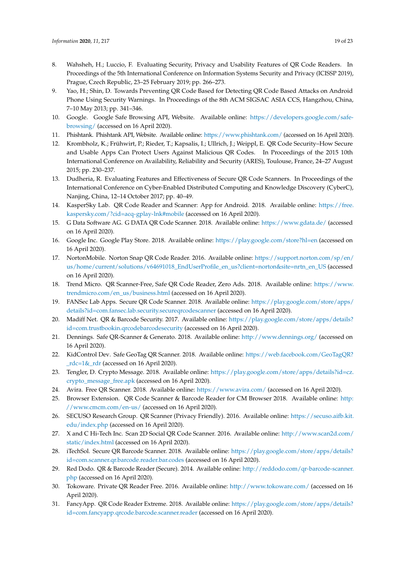- <span id="page-18-0"></span>8. Wahsheh, H.; Luccio, F. Evaluating Security, Privacy and Usability Features of QR Code Readers. In Proceedings of the 5th International Conference on Information Systems Security and Privacy (ICISSP 2019), Prague, Czech Republic, 23–25 February 2019; pp. 266–273.
- <span id="page-18-1"></span>9. Yao, H.; Shin, D. Towards Preventing QR Code Based for Detecting QR Code Based Attacks on Android Phone Using Security Warnings. In Proceedings of the 8th ACM SIGSAC ASIA CCS, Hangzhou, China, 7–10 May 2013; pp. 341–346.
- <span id="page-18-2"></span>10. Google. Google Safe Browsing API, Website. Available online: [https://developers.google.com/safe](https://developers.google.com/safe-browsing/)[browsing/](https://developers.google.com/safe-browsing/) (accessed on 16 April 2020).
- <span id="page-18-3"></span>11. Phishtank. Phishtank API, Website. Available online: <https://www.phishtank.com/> (accessed on 16 April 2020).
- <span id="page-18-4"></span>12. Krombholz, K.; Frühwirt, P.; Rieder, T.; Kapsalis, I.; Ullrich, J.; Weippl, E. QR Code Security–How Secure and Usable Apps Can Protect Users Against Malicious QR Codes. In Proceedings of the 2015 10th International Conference on Availability, Reliability and Security (ARES), Toulouse, France, 24–27 August 2015; pp. 230–237.
- <span id="page-18-5"></span>13. Dudheria, R. Evaluating Features and Effectiveness of Secure QR Code Scanners. In Proceedings of the International Conference on Cyber-Enabled Distributed Computing and Knowledge Discovery (CyberC), Nanjing, China, 12–14 October 2017; pp. 40–49.
- <span id="page-18-6"></span>14. KasperSky Lab. QR Code Reader and Scanner: App for Android. 2018. Available online: [https://free.](https://free.kaspersky.com/?cid=acq-gplay-lnk#mobile) [kaspersky.com/?cid=acq-gplay-lnk#mobile](https://free.kaspersky.com/?cid=acq-gplay-lnk#mobile) (accessed on 16 April 2020).
- <span id="page-18-7"></span>15. G Data Software AG. G DATA QR Code Scanner. 2018. Available online: <https://www.gdata.de/> (accessed on 16 April 2020).
- <span id="page-18-8"></span>16. Google Inc. Google Play Store. 2018. Available online: <https://play.google.com/store?hl=en> (accessed on 16 April 2020).
- <span id="page-18-9"></span>17. NortonMobile. Norton Snap QR Code Reader. 2016. Available online: [https://support.norton.com/sp/en/](https://support.norton.com/sp/en/us/home/current/solutions/v64691018_EndUserProfile_en_us?client=norton&site=nrtn_en_US) [us/home/current/solutions/v64691018\\_EndUserProfile\\_en\\_us?client=norton&site=nrtn\\_en\\_US](https://support.norton.com/sp/en/us/home/current/solutions/v64691018_EndUserProfile_en_us?client=norton&site=nrtn_en_US) (accessed on 16 April 2020).
- <span id="page-18-10"></span>18. Trend Micro. QR Scanner-Free, Safe QR Code Reader, Zero Ads. 2018. Available online: [https://www.](https://www.trendmicro.com/en_us/business.html) [trendmicro.com/en\\_us/business.html](https://www.trendmicro.com/en_us/business.html) (accessed on 16 April 2020).
- <span id="page-18-11"></span>19. FANSec Lab Apps. Secure QR Code Scanner. 2018. Available online: [https://play.google.com/store/apps/](https://play.google.com/store/apps/details?id=com.fansec.lab.security.secureqrcodescanner) [details?id=com.fansec.lab.security.secureqrcodescanner](https://play.google.com/store/apps/details?id=com.fansec.lab.security.secureqrcodescanner) (accessed on 16 April 2020).
- <span id="page-18-12"></span>20. Madiff Net. QR & Barcode Security. 2017. Available online: [https://play.google.com/store/apps/details?](https://play.google.com/store/apps/details?id=com.trustbookin.qrcodebarcodesecurity) [id=com.trustbookin.qrcodebarcodesecurity](https://play.google.com/store/apps/details?id=com.trustbookin.qrcodebarcodesecurity) (accessed on 16 April 2020).
- <span id="page-18-13"></span>21. Dennings. Safe QR-Scanner & Generato. 2018. Available online: <http://www.dennings.org/> (accessed on 16 April 2020).
- <span id="page-18-14"></span>22. KidControl Dev. Safe GeoTag QR Scanner. 2018. Available online: [https://web.facebook.com/GeoTagQR?](https://web.facebook.com/GeoTagQR?_rdc=1&_rdr) [\\_rdc=1&\\_rdr](https://web.facebook.com/GeoTagQR?_rdc=1&_rdr) (accessed on 16 April 2020).
- <span id="page-18-15"></span>23. Tengler, D. Crypto Message. 2018. Available online: [https://play.google.com/store/apps/details?id=cz.](https://play.google.com/store/apps/details?id=cz.crypto_message_free.apk) [crypto\\_message\\_free.apk](https://play.google.com/store/apps/details?id=cz.crypto_message_free.apk) (accessed on 16 April 2020).
- <span id="page-18-16"></span>24. Avira. Free QR Scanner. 2018. Available online: <https://www.avira.com/> (accessed on 16 April 2020).
- <span id="page-18-17"></span>25. Browser Extension. QR Code Scanner & Barcode Reader for CM Browser 2018. Available online: [http:](http://www.cmcm.com/en-us/) [//www.cmcm.com/en-us/](http://www.cmcm.com/en-us/) (accessed on 16 April 2020).
- <span id="page-18-18"></span>26. SECUSO Research Group. QR Scanner (Privacy Friendly). 2016. Available online: [https://secuso.aifb.kit.](https://secuso.aifb.kit.edu/index.php) [edu/index.php](https://secuso.aifb.kit.edu/index.php) (accessed on 16 April 2020).
- <span id="page-18-19"></span>27. X and C Hi-Tech Inc. Scan 2D Social QR Code Scanner. 2016. Available online: [http://www.scan2d.com/](http://www.scan2d.com/static/index.html) [static/index.html](http://www.scan2d.com/static/index.html) (accessed on 16 April 2020).
- <span id="page-18-20"></span>28. iTechSol. Secure QR Barcode Scanner. 2018. Available online: [https://play.google.com/store/apps/details?](https://play.google.com/store/apps/details?id=com.scanner.qr.barcode.reader.bar.codes) [id=com.scanner.qr.barcode.reader.bar.codes](https://play.google.com/store/apps/details?id=com.scanner.qr.barcode.reader.bar.codes) (accessed on 16 April 2020).
- <span id="page-18-21"></span>29. Red Dodo. QR & Barcode Reader (Secure). 2014. Available online: [http://reddodo.com/qr-barcode-scanner.](http://reddodo.com/qr-barcode-scanner.php) [php](http://reddodo.com/qr-barcode-scanner.php) (accessed on 16 April 2020).
- <span id="page-18-22"></span>30. Tokoware. Private QR Reader Free. 2016. Available online: <http://www.tokoware.com/> (accessed on 16 April 2020).
- <span id="page-18-23"></span>31. FancyApp. QR Code Reader Extreme. 2018. Available online: [https://play.google.com/store/apps/details?](https://play.google.com/store/apps/details?id=com.fancyapp.qrcode.barcode.scanner.reader) [id=com.fancyapp.qrcode.barcode.scanner.reader](https://play.google.com/store/apps/details?id=com.fancyapp.qrcode.barcode.scanner.reader) (accessed on 16 April 2020).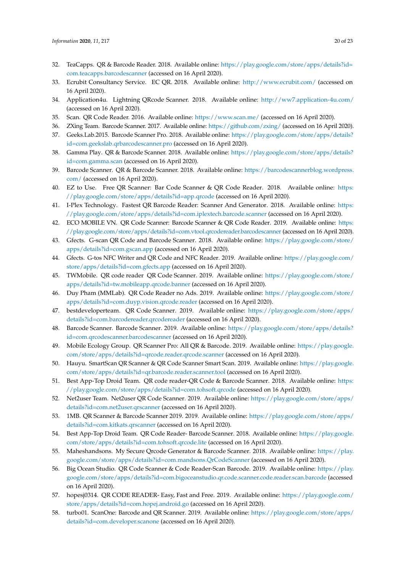- <span id="page-19-0"></span>32. TeaCapps. QR & Barcode Reader. 2018. Available online: [https://play.google.com/store/apps/details?id=](https://play.google.com/store/apps/details?id=com.teacapps.barcodescanner) [com.teacapps.barcodescanner](https://play.google.com/store/apps/details?id=com.teacapps.barcodescanner) (accessed on 16 April 2020).
- <span id="page-19-1"></span>33. Ecrubit Consultancy Service. EC QR. 2018. Available online: <http://www.ecrubit.com/> (accessed on 16 April 2020).
- <span id="page-19-2"></span>34. Application4u. Lightning QRcode Scanner. 2018. Available online: <http://ww7.application-4u.com/> (accessed on 16 April 2020).
- <span id="page-19-3"></span>35. Scan. QR Code Reader. 2016. Available online: <https://www.scan.me/> (accessed on 16 April 2020).
- <span id="page-19-5"></span><span id="page-19-4"></span>36. ZXing Team. Barcode Scanner. 2017. Available online: <https://github.com/zxing/> (accessed on 16 April 2020).
- 37. Geeks.Lab.2015. Barcode Scanner Pro. 2018. Available online: [https://play.google.com/store/apps/details?](https://play.google.com/store/apps/details?id=com.geekslab.qrbarcodescanner.pro) [id=com.geekslab.qrbarcodescanner.pro](https://play.google.com/store/apps/details?id=com.geekslab.qrbarcodescanner.pro) (accessed on 16 April 2020).
- <span id="page-19-6"></span>38. Gamma Play. QR & Barcode Scanner. 2018. Available online: [https://play.google.com/store/apps/details?](https://play.google.com/store/apps/details?id=com.gamma.scan) [id=com.gamma.scan](https://play.google.com/store/apps/details?id=com.gamma.scan) (accessed on 16 April 2020).
- <span id="page-19-7"></span>39. Barcode Scanner. QR & Barcode Scanner. 2018. Available online: [https://barcodescannerblog.wordpress.](https://barcodescannerblog.wordpress.com/) [com/](https://barcodescannerblog.wordpress.com/) (accessed on 16 April 2020).
- <span id="page-19-8"></span>40. EZ to Use. Free QR Scanner: Bar Code Scanner & QR Code Reader. 2018. Available online: [https:](https://play.google.com/store/apps/details?id=app.qrcode) [//play.google.com/store/apps/details?id=app.qrcode](https://play.google.com/store/apps/details?id=app.qrcode) (accessed on 16 April 2020).
- <span id="page-19-9"></span>41. I-Plex Technology. Fastest QR Barcode Reader: Scanner And Generator. 2018. Available online: [https:](https://play.google.com/store/apps/details?id=com.iplextech.barcode.scanner) [//play.google.com/store/apps/details?id=com.iplextech.barcode.scanner](https://play.google.com/store/apps/details?id=com.iplextech.barcode.scanner) (accessed on 16 April 2020).
- <span id="page-19-10"></span>42. ECO MOBILE VN. QR Code Scanner: Barcode Scanner & QR Code Reader. 2019. Available online: [https:](https://play.google.com/store/apps/details?id=com.vtool.qrcodereader.barcodescanner) [//play.google.com/store/apps/details?id=com.vtool.qrcodereader.barcodescanner](https://play.google.com/store/apps/details?id=com.vtool.qrcodereader.barcodescanner) (accessed on 16 April 2020).
- <span id="page-19-11"></span>43. Gfects. G-scan QR Code and Barcode Scanner. 2018. Available online: [https://play.google.com/store/](https://play.google.com/store/apps/details?id=com.gscan.app) [apps/details?id=com.gscan.app](https://play.google.com/store/apps/details?id=com.gscan.app) (accessed on 16 April 2020).
- <span id="page-19-12"></span>44. Gfects. G-tos NFC Writer and QR Code and NFC Reader. 2019. Available online: [https://play.google.com/](https://play.google.com/store/apps/details?id=com.gfects.app) [store/apps/details?id=com.gfects.app](https://play.google.com/store/apps/details?id=com.gfects.app) (accessed on 16 April 2020).
- <span id="page-19-13"></span>45. TWMobile. QR code reader QR Code Scanner. 2019. Available online: [https://play.google.com/store/](https://play.google.com/store/apps/details?id=tw.mobileapp.qrcode.banner) [apps/details?id=tw.mobileapp.qrcode.banner](https://play.google.com/store/apps/details?id=tw.mobileapp.qrcode.banner) (accessed on 16 April 2020).
- <span id="page-19-14"></span>46. Duy Pham (MMLab). QR Code Reader no Ads. 2019. Available online: [https://play.google.com/store/](https://play.google.com/store/apps/details?id=com.duyp.vision.qrcode.reader) [apps/details?id=com.duyp.vision.qrcode.reader](https://play.google.com/store/apps/details?id=com.duyp.vision.qrcode.reader) (accessed on 16 April 2020).
- <span id="page-19-15"></span>47. bestdeveloperteam. QR Code Scanner. 2019. Available online: [https://play.google.com/store/apps/](https://play.google.com/store/apps/details?id=com.barcodereader.qrcodereader) [details?id=com.barcodereader.qrcodereader](https://play.google.com/store/apps/details?id=com.barcodereader.qrcodereader) (accessed on 16 April 2020).
- <span id="page-19-16"></span>48. Barcode Scanner. Barcode Scanner. 2019. Available online: [https://play.google.com/store/apps/details?](https://play.google.com/store/apps/details?id=com.qrcodescanner.barcodescanner) [id=com.qrcodescanner.barcodescanner](https://play.google.com/store/apps/details?id=com.qrcodescanner.barcodescanner) (accessed on 16 April 2020).
- <span id="page-19-17"></span>49. Mobile Ecology Group. QR Scanner Pro: All QR & Barcode. 2019. Available online: [https://play.google.](https://play.google.com/store/apps/details?id=qrcode.reader.qrcode.scanner) [com/store/apps/details?id=qrcode.reader.qrcode.scanner](https://play.google.com/store/apps/details?id=qrcode.reader.qrcode.scanner) (accessed on 16 April 2020).
- <span id="page-19-18"></span>50. Hauyu. SmartScan QR Scanner & QR Code Scanner Smart Scan. 2019. Available online: [https://play.google.](https://play.google.com/store/apps/details?id=qr.barcode.reader.scanner.tool) [com/store/apps/details?id=qr.barcode.reader.scanner.tool](https://play.google.com/store/apps/details?id=qr.barcode.reader.scanner.tool) (accessed on 16 April 2020).
- <span id="page-19-19"></span>51. Best App-Top Droid Team. QR code reader-QR Code & Barcode Scanner. 2018. Available online: [https:](https://play.google.com/store/apps/details?id=com.tohsoft.qrcode) [//play.google.com/store/apps/details?id=com.tohsoft.qrcode](https://play.google.com/store/apps/details?id=com.tohsoft.qrcode) (accessed on 16 April 2020).
- <span id="page-19-20"></span>52. Net2user Team. Net2user QR Code Scanner. 2019. Available online: [https://play.google.com/store/apps/](https://play.google.com/store/apps/details?id=com.net2user.qrscanner) [details?id=com.net2user.qrscanner](https://play.google.com/store/apps/details?id=com.net2user.qrscanner) (accessed on 16 April 2020).
- <span id="page-19-21"></span>53. 1MB. QR Scanner & Barcode Scanner 2019. 2019. Available online: [https://play.google.com/store/apps/](https://play.google.com/store/apps/details?id=com.kitkats.qrscanner) [details?id=com.kitkats.qrscanner](https://play.google.com/store/apps/details?id=com.kitkats.qrscanner) (accessed on 16 April 2020).
- <span id="page-19-22"></span>54. Best App-Top Droid Team. QR Code Reader- Barcode Scanner. 2018. Available online: [https://play.google.](https://play.google.com/store/apps/details?id=com.tohsoft.qrcode.lite) [com/store/apps/details?id=com.tohsoft.qrcode.lite](https://play.google.com/store/apps/details?id=com.tohsoft.qrcode.lite) (accessed on 16 April 2020).
- <span id="page-19-23"></span>55. Maheshandsons. My Secure Qrcode Generator & Barcode Scanner. 2018. Available online: [https://play.](https://play.google.com/store/apps/details?id=com.mandsons.QrCodeScanner) [google.com/store/apps/details?id=com.mandsons.QrCodeScanner](https://play.google.com/store/apps/details?id=com.mandsons.QrCodeScanner) (accessed on 16 April 2020).
- <span id="page-19-24"></span>56. Big Ocean Studio. QR Code Scanner & Code Reader-Scan Barcode. 2019. Available online: [https://play.](https://play.google.com/store/apps/details?id=com.bigoceanstudio.qr.code.scanner.code.reader.scan.barcode) [google.com/store/apps/details?id=com.bigoceanstudio.qr.code.scanner.code.reader.scan.barcode](https://play.google.com/store/apps/details?id=com.bigoceanstudio.qr.code.scanner.code.reader.scan.barcode) (accessed on 16 April 2020).
- <span id="page-19-25"></span>57. hopesj0314. QR CODE READER- Easy, Fast and Free. 2019. Available online: [https://play.google.com/](https://play.google.com/store/apps/details?id=com.hopej.android.go) [store/apps/details?id=com.hopej.android.go](https://play.google.com/store/apps/details?id=com.hopej.android.go) (accessed on 16 April 2020).
- <span id="page-19-26"></span>58. turbo01. ScanOne: Barcode and QR Scanner. 2019. Available online: [https://play.google.com/store/apps/](https://play.google.com/store/apps/details?id=com.developer.scanone) [details?id=com.developer.scanone](https://play.google.com/store/apps/details?id=com.developer.scanone) (accessed on 16 April 2020).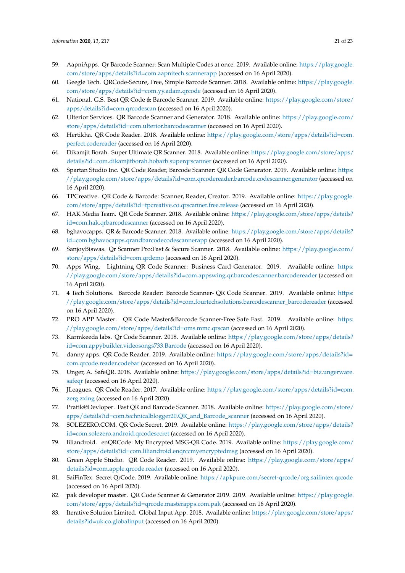- <span id="page-20-0"></span>59. AapniApps. Qr Barcode Scanner: Scan Multiple Codes at once. 2019. Available online: [https://play.google.](https://play.google.com/store/apps/details?id=com.aapnitech.scannerapp) [com/store/apps/details?id=com.aapnitech.scannerapp](https://play.google.com/store/apps/details?id=com.aapnitech.scannerapp) (accessed on 16 April 2020).
- <span id="page-20-1"></span>60. Geegle Tech. QRCode-Secure, Free, Simple Barcode Scanner. 2018. Available online: [https://play.google.](https://play.google.com/store/apps/details?id=com.yy.adam.qrcode) [com/store/apps/details?id=com.yy.adam.qrcode](https://play.google.com/store/apps/details?id=com.yy.adam.qrcode) (accessed on 16 April 2020).
- <span id="page-20-2"></span>61. National. G.S. Best QR Code & Barcode Scanner. 2019. Available online: [https://play.google.com/store/](https://play.google.com/store/apps/details?id=com.qrcodescan) [apps/details?id=com.qrcodescan](https://play.google.com/store/apps/details?id=com.qrcodescan) (accessed on 16 April 2020).
- <span id="page-20-3"></span>62. Ulterior Services. QR Barcode Scanner and Generator. 2018. Available online: [https://play.google.com/](https://play.google.com/store/apps/details?id=com.ulterior.barcodescanner) [store/apps/details?id=com.ulterior.barcodescanner](https://play.google.com/store/apps/details?id=com.ulterior.barcodescanner) (accessed on 16 April 2020).
- <span id="page-20-4"></span>63. Hertikha. QR Code Reader. 2018. Available online: [https://play.google.com/store/apps/details?id=com.](https://play.google.com/store/apps/details?id=com.perfect.codereader) [perfect.codereader](https://play.google.com/store/apps/details?id=com.perfect.codereader) (accessed on 16 April 2020).
- <span id="page-20-5"></span>64. Dikamjit Borah. Super Ultimate QR Scanner. 2018. Available online: [https://play.google.com/store/apps/](https://play.google.com/store/apps/details?id=com.dikamjitborah.hobarb.superqrscanner) [details?id=com.dikamjitborah.hobarb.superqrscanner](https://play.google.com/store/apps/details?id=com.dikamjitborah.hobarb.superqrscanner) (accessed on 16 April 2020).
- <span id="page-20-6"></span>65. Spartan Studio Inc. QR Code Reader, Barcode Scanner: QR Code Generator. 2019. Available online: [https:](https://play.google.com/store/apps/details?id=com.qrcodereader.barcode.codescanner.generator) [//play.google.com/store/apps/details?id=com.qrcodereader.barcode.codescanner.generator](https://play.google.com/store/apps/details?id=com.qrcodereader.barcode.codescanner.generator) (accessed on 16 April 2020).
- <span id="page-20-7"></span>66. TPCreative. QR Code & Barcode: Scanner, Reader, Creator. 2019. Available online: [https://play.google.](https://play.google.com/store/apps/details?id=tpcreative.co.qrscanner.free.release) [com/store/apps/details?id=tpcreative.co.qrscanner.free.release](https://play.google.com/store/apps/details?id=tpcreative.co.qrscanner.free.release) (accessed on 16 April 2020).
- <span id="page-20-8"></span>67. HAK Media Team. QR Code Scanner. 2018. Available online: [https://play.google.com/store/apps/details?](https://play.google.com/store/apps/details?id=com.hak.qrbarcodescanner) [id=com.hak.qrbarcodescanner](https://play.google.com/store/apps/details?id=com.hak.qrbarcodescanner) (accessed on 16 April 2020).
- <span id="page-20-9"></span>68. bghavocapps. QR & Barcode Scanner. 2018. Available online: [https://play.google.com/store/apps/details?](https://play.google.com/store/apps/details?id=com.bghavocapps.qrandbarcodecodescannerapp) [id=com.bghavocapps.qrandbarcodecodescannerapp](https://play.google.com/store/apps/details?id=com.bghavocapps.qrandbarcodecodescannerapp) (accessed on 16 April 2020).
- <span id="page-20-10"></span>69. SanjoyBiswas. Qr Scanner Pro:Fast & Secure Scanner. 2018. Available online: [https://play.google.com/](https://play.google.com/store/apps/details?id=com.qrdemo) [store/apps/details?id=com.qrdemo](https://play.google.com/store/apps/details?id=com.qrdemo) (accessed on 16 April 2020).
- <span id="page-20-11"></span>70. Apps Wing. Lightning QR Code Scanner: Business Card Generator. 2019. Available online: [https:](https://play.google.com/store/apps/details?id=com.appswing.qr.barcodescanner.barcodereader) [//play.google.com/store/apps/details?id=com.appswing.qr.barcodescanner.barcodereader](https://play.google.com/store/apps/details?id=com.appswing.qr.barcodescanner.barcodereader) (accessed on 16 April 2020).
- <span id="page-20-12"></span>71. 4 Tech Solutions. Barcode Reader: Barcode Scanner- QR Code Scanner. 2019. Available online: [https:](https://play.google.com/store/apps/details?id=com.fourtechsolutions.barcodescanner_barcodereader) [//play.google.com/store/apps/details?id=com.fourtechsolutions.barcodescanner\\_barcodereader](https://play.google.com/store/apps/details?id=com.fourtechsolutions.barcodescanner_barcodereader) (accessed on 16 April 2020).
- <span id="page-20-13"></span>72. PRO APP Master. QR Code Master&Barcode Scanner-Free Safe Fast. 2019. Available online: [https:](https://play.google.com/store/apps/details?id=oms.mmc.qrscan) [//play.google.com/store/apps/details?id=oms.mmc.qrscan](https://play.google.com/store/apps/details?id=oms.mmc.qrscan) (accessed on 16 April 2020).
- <span id="page-20-14"></span>73. Karmkeeda labs. Qr Code Scanner. 2018. Available online: [https://play.google.com/store/apps/details?](https://play.google.com/store/apps/details?id=com.appybuilder.videosongs733.Barcode) [id=com.appybuilder.videosongs733.Barcode](https://play.google.com/store/apps/details?id=com.appybuilder.videosongs733.Barcode) (accessed on 16 April 2020).
- <span id="page-20-15"></span>74. danny apps. QR Code Reader. 2019. Available online: [https://play.google.com/store/apps/details?id=](https://play.google.com/store/apps/details?id=com.qrcode.reader.codebar) [com.qrcode.reader.codebar](https://play.google.com/store/apps/details?id=com.qrcode.reader.codebar) (accessed on 16 April 2020).
- <span id="page-20-16"></span>75. Unger, A. SafeQR. 2018. Available online: [https://play.google.com/store/apps/details?id=biz.ungerware.](https://play.google.com/store/apps/details?id=biz.ungerware.safeqr) [safeqr](https://play.google.com/store/apps/details?id=biz.ungerware.safeqr) (accessed on 16 April 2020).
- <span id="page-20-17"></span>76. JLeagues. QR Code Reader. 2017. Available online: [https://play.google.com/store/apps/details?id=com.](https://play.google.com/store/apps/details?id=com.zerg.zxing) [zerg.zxing](https://play.google.com/store/apps/details?id=com.zerg.zxing) (accessed on 16 April 2020).
- <span id="page-20-18"></span>77. Pratik@Devloper. Fast QR and Barcode Scanner. 2018. Available online: [https://play.google.com/store/](https://play.google.com/store/apps/details?id=com.technicalblogger20.QR_and_Barcode_scanner) [apps/details?id=com.technicalblogger20.QR\\_and\\_Barcode\\_scanner](https://play.google.com/store/apps/details?id=com.technicalblogger20.QR_and_Barcode_scanner) (accessed on 16 April 2020).
- <span id="page-20-19"></span>78. SOLEZERO.COM. QR Code Secret. 2019. Available online: [https://play.google.com/store/apps/details?](https://play.google.com/store/apps/details?id=com.solezero.android.qrcodesecret) [id=com.solezero.android.qrcodesecret](https://play.google.com/store/apps/details?id=com.solezero.android.qrcodesecret) (accessed on 16 April 2020).
- <span id="page-20-20"></span>79. liliandroid. enQRCode: My Encrypted MSG-QR Code. 2019. Available online: [https://play.google.com/](https://play.google.com/store/apps/details?id=com.liliandroid.enqrccmyencryptedmsg) [store/apps/details?id=com.liliandroid.enqrccmyencryptedmsg](https://play.google.com/store/apps/details?id=com.liliandroid.enqrccmyencryptedmsg) (accessed on 16 April 2020).
- <span id="page-20-21"></span>80. Green Apple Studio. QR Code Reader. 2019. Available online: [https://play.google.com/store/apps/](https://play.google.com/store/apps/details?id=com.apple.qrcode.reader) [details?id=com.apple.qrcode.reader](https://play.google.com/store/apps/details?id=com.apple.qrcode.reader) (accessed on 16 April 2020).
- <span id="page-20-22"></span>81. SaiFinTex. Secret QrCode. 2019. Available online: <https://apkpure.com/secret-qrcode/org.saifintex.qrcode> (accessed on 16 April 2020).
- <span id="page-20-23"></span>82. pak developer master. QR Code Scanner & Generator 2019. 2019. Available online: [https://play.google.](https://play.google.com/store/apps/details?id=qrcode.masterapps.com.pak) [com/store/apps/details?id=qrcode.masterapps.com.pak](https://play.google.com/store/apps/details?id=qrcode.masterapps.com.pak) (accessed on 16 April 2020).
- <span id="page-20-24"></span>83. Iterative Solution Limited. Global Input App. 2018. Available online: [https://play.google.com/store/apps/](https://play.google.com/store/apps/details?id=uk.co.globalinput) [details?id=uk.co.globalinput](https://play.google.com/store/apps/details?id=uk.co.globalinput) (accessed on 16 April 2020).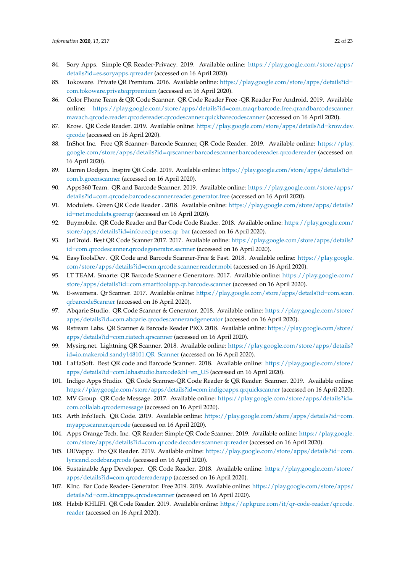- <span id="page-21-0"></span>84. Sory Apps. Simple QR Reader-Privacy. 2019. Available online: [https://play.google.com/store/apps/](https://play.google.com/store/apps/details?id=es.soryapps.qrreader) [details?id=es.soryapps.qrreader](https://play.google.com/store/apps/details?id=es.soryapps.qrreader) (accessed on 16 April 2020).
- <span id="page-21-1"></span>85. Tokoware. Private QR Premium. 2016. Available online: [https://play.google.com/store/apps/details?id=](https://play.google.com/store/apps/details?id=com.tokoware.privateqrpremium) [com.tokoware.privateqrpremium](https://play.google.com/store/apps/details?id=com.tokoware.privateqrpremium) (accessed on 16 April 2020).
- <span id="page-21-2"></span>86. Color Phone Team & QR Code Scanner. QR Code Reader Free -QR Reader For Android. 2019. Available online: [https://play.google.com/store/apps/details?id=com.maqr.barcode.free.qrandbarcodescanner.](https://play.google.com/store/apps/details?id=com.maqr.barcode.free.qrandbarcodescanner.mavach.qrcode.reader.qrcodereader.qrcodescanner.quickbarecodescanner) [mavach.qrcode.reader.qrcodereader.qrcodescanner.quickbarecodescanner](https://play.google.com/store/apps/details?id=com.maqr.barcode.free.qrandbarcodescanner.mavach.qrcode.reader.qrcodereader.qrcodescanner.quickbarecodescanner) (accessed on 16 April 2020).
- <span id="page-21-3"></span>87. Krow. QR Code Reader. 2019. Available online: [https://play.google.com/store/apps/details?id=krow.dev.](https://play.google.com/store/apps/details?id=krow.dev.qrcode) [qrcode](https://play.google.com/store/apps/details?id=krow.dev.qrcode) (accessed on 16 April 2020).
- <span id="page-21-4"></span>88. InShot Inc. Free QR Scanner- Barcode Scanner, QR Code Reader. 2019. Available online: [https://play.](https://play.google.com/store/apps/details?id=qrscanner.barcodescanner.barcodereader.qrcodereader) [google.com/store/apps/details?id=qrscanner.barcodescanner.barcodereader.qrcodereader](https://play.google.com/store/apps/details?id=qrscanner.barcodescanner.barcodereader.qrcodereader) (accessed on 16 April 2020).
- <span id="page-21-5"></span>89. Darren Dodgen. Inspire QR Code. 2019. Available online: [https://play.google.com/store/apps/details?id=](https://play.google.com/store/apps/details?id=com.b.greenscanner) [com.b.greenscanner](https://play.google.com/store/apps/details?id=com.b.greenscanner) (accessed on 16 April 2020).
- <span id="page-21-6"></span>90. Apps360 Team. QR and Barcode Scanner. 2019. Available online: [https://play.google.com/store/apps/](https://play.google.com/store/apps/details?id=com.qrcode.barcode.scanner.reader.generator.free) [details?id=com.qrcode.barcode.scanner.reader.generator.free](https://play.google.com/store/apps/details?id=com.qrcode.barcode.scanner.reader.generator.free) (accessed on 16 April 2020).
- <span id="page-21-7"></span>91. Modulets. Green QR Code Reader . 2018. Available online: [https://play.google.com/store/apps/details?](https://play.google.com/store/apps/details?id=net.modulets.greenqr) [id=net.modulets.greenqr](https://play.google.com/store/apps/details?id=net.modulets.greenqr) (accessed on 16 April 2020).
- <span id="page-21-8"></span>92. Buymobile. QR Code Reader and Bar Code Code Reader. 2018. Available online: [https://play.google.com/](https://play.google.com/store/apps/details?id=info.recipe.user.qr_bar) [store/apps/details?id=info.recipe.user.qr\\_bar](https://play.google.com/store/apps/details?id=info.recipe.user.qr_bar) (accessed on 16 April 2020).
- <span id="page-21-9"></span>93. JarDroid. Best QR Code Scanner 2017. 2017. Available online: [https://play.google.com/store/apps/details?](https://play.google.com/store/apps/details?id=com.qrcodescanner.qrcodegenerator.sacnner) [id=com.qrcodescanner.qrcodegenerator.sacnner](https://play.google.com/store/apps/details?id=com.qrcodescanner.qrcodegenerator.sacnner) (accessed on 16 April 2020).
- <span id="page-21-10"></span>94. EasyToolsDev. QR Code and Barcode Scanner-Free & Fast. 2018. Available online: [https://play.google.](https://play.google.com/store/apps/details?id=com.qrcode.scanner.reader.mobi) [com/store/apps/details?id=com.qrcode.scanner.reader.mobi](https://play.google.com/store/apps/details?id=com.qrcode.scanner.reader.mobi) (accessed on 16 April 2020).
- <span id="page-21-11"></span>95. LT TEAM. Smarte: QR Barcode Scanner e Generatore. 2017. Available online: [https://play.google.com/](https://play.google.com/store/apps/details?id=com.smarttoolapp.qr.barcode.scanner) [store/apps/details?id=com.smarttoolapp.qr.barcode.scanner](https://play.google.com/store/apps/details?id=com.smarttoolapp.qr.barcode.scanner) (accessed on 16 April 2020).
- <span id="page-21-12"></span>96. E-swamera. Qr Scanner. 2017. Available online: [https://play.google.com/store/apps/details?id=com.scan.](https://play.google.com/store/apps/details?id=com.scan.qrbarcodeScanner) [qrbarcodeScanner](https://play.google.com/store/apps/details?id=com.scan.qrbarcodeScanner) (accessed on 16 April 2020).
- <span id="page-21-13"></span>97. Abqarie Studio. QR Code Scanner & Generator. 2018. Available online: [https://play.google.com/store/](https://play.google.com/store/apps/details?id=com.abqarie.qrcodescannerandgenerator) [apps/details?id=com.abqarie.qrcodescannerandgenerator](https://play.google.com/store/apps/details?id=com.abqarie.qrcodescannerandgenerator) (accessed on 16 April 2020).
- <span id="page-21-14"></span>98. Rstream Labs. QR Scanner & Barcode Reader PRO. 2018. Available online: [https://play.google.com/store/](https://play.google.com/store/apps/details?id=com.riatech.qrscanner) [apps/details?id=com.riatech.qrscanner](https://play.google.com/store/apps/details?id=com.riatech.qrscanner) (accessed on 16 April 2020).
- <span id="page-21-15"></span>99. Mysirg.net. Lightning QR Scanner. 2018. Available online: [https://play.google.com/store/apps/details?](https://play.google.com/store/apps/details?id=io.makeroid.sandy148101.QR_Scanner) [id=io.makeroid.sandy148101.QR\\_Scanner](https://play.google.com/store/apps/details?id=io.makeroid.sandy148101.QR_Scanner) (accessed on 16 April 2020).
- <span id="page-21-16"></span>100. LaHaSoft. Best QR code and Barcode Scanner. 2018. Available online: [https://play.google.com/store/](https://play.google.com/store/apps/details?id=com.lahastudio.barcode&hl=en_US) [apps/details?id=com.lahastudio.barcode&hl=en\\_US](https://play.google.com/store/apps/details?id=com.lahastudio.barcode&hl=en_US) (accessed on 16 April 2020).
- <span id="page-21-17"></span>101. Indigo Apps Studio. QR Code Scanner-QR Code Reader & QR Reader: Scanner. 2019. Available online: <https://play.google.com/store/apps/details?id=com.indigoapps.qrquickscanner> (accessed on 16 April 2020).
- <span id="page-21-18"></span>102. MV Group. QR Code Message. 2017. Available online: [https://play.google.com/store/apps/details?id=](https://play.google.com/store/apps/details?id=com.collalab.qrcodemessage) [com.collalab.qrcodemessage](https://play.google.com/store/apps/details?id=com.collalab.qrcodemessage) (accessed on 16 April 2020).
- <span id="page-21-19"></span>103. Arth InfoTech. QR Code. 2019. Available online: [https://play.google.com/store/apps/details?id=com.](https://play.google.com/store/apps/details?id=com.myapp.scanner.qercode) [myapp.scanner.qercode](https://play.google.com/store/apps/details?id=com.myapp.scanner.qercode) (accessed on 16 April 2020).
- <span id="page-21-20"></span>104. Apps Orange Tech. Inc. QR Reader: Simple QR Code Scanner. 2019. Available online: [https://play.google.](https://play.google.com/store/apps/details?id=com.qr.code.decoder.scanner.qr.reader) [com/store/apps/details?id=com.qr.code.decoder.scanner.qr.reader](https://play.google.com/store/apps/details?id=com.qr.code.decoder.scanner.qr.reader) (accessed on 16 April 2020).
- <span id="page-21-21"></span>105. DEVappy. Pro QR Reader. 2019. Available online: [https://play.google.com/store/apps/details?id=com.](https://play.google.com/store/apps/details?id=com.lyricand.codebar.qrcode) [lyricand.codebar.qrcode](https://play.google.com/store/apps/details?id=com.lyricand.codebar.qrcode) (accessed on 16 April 2020).
- <span id="page-21-22"></span>106. Sustainable App Developer. QR Code Reader. 2018. Available online: [https://play.google.com/store/](https://play.google.com/store/apps/details?id=com.qrcodereaderapp) [apps/details?id=com.qrcodereaderapp](https://play.google.com/store/apps/details?id=com.qrcodereaderapp) (accessed on 16 April 2020).
- <span id="page-21-23"></span>107. KInc. Bar Code Reader- Generator: Free 2019. 2019. Available online: [https://play.google.com/store/apps/](https://play.google.com/store/apps/details?id=com.kincapps.qrcodescanner) [details?id=com.kincapps.qrcodescanner](https://play.google.com/store/apps/details?id=com.kincapps.qrcodescanner) (accessed on 16 April 2020).
- <span id="page-21-24"></span>108. Habib KHLIFI. QR Code Reader. 2019. Available online: [https://apkpure.com/it/qr-code-reader/qr.code.](https://apkpure.com/it/qr-code-reader/qr.code.reader) [reader](https://apkpure.com/it/qr-code-reader/qr.code.reader) (accessed on 16 April 2020).